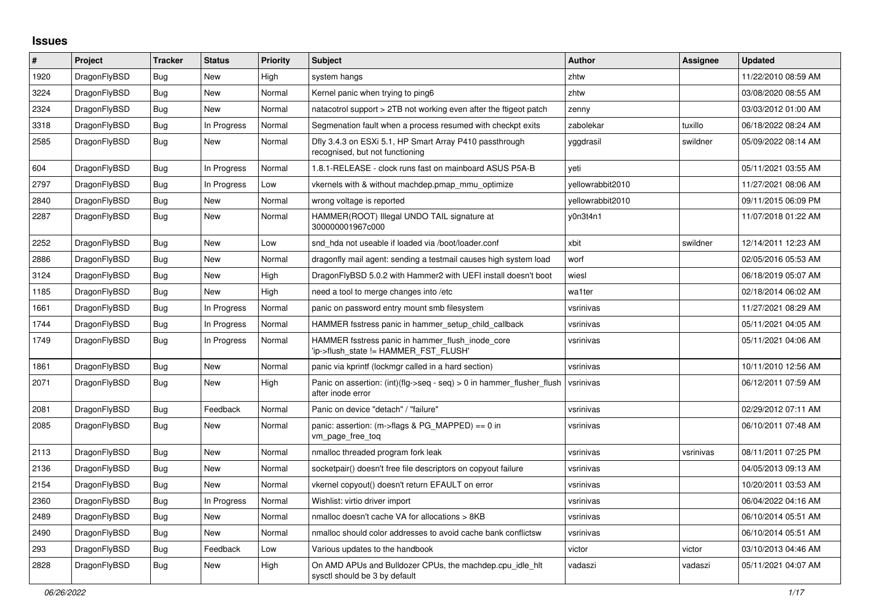## **Issues**

| #    | Project      | <b>Tracker</b> | <b>Status</b> | <b>Priority</b> | <b>Subject</b>                                                                             | <b>Author</b>    | Assignee  | <b>Updated</b>      |
|------|--------------|----------------|---------------|-----------------|--------------------------------------------------------------------------------------------|------------------|-----------|---------------------|
| 1920 | DragonFlyBSD | <b>Bug</b>     | <b>New</b>    | High            | system hangs                                                                               | zhtw             |           | 11/22/2010 08:59 AM |
| 3224 | DragonFlyBSD | <b>Bug</b>     | <b>New</b>    | Normal          | Kernel panic when trying to ping6                                                          | zhtw             |           | 03/08/2020 08:55 AM |
| 2324 | DragonFlyBSD | <b>Bug</b>     | New           | Normal          | natacotrol support > 2TB not working even after the ftigeot patch                          | zenny            |           | 03/03/2012 01:00 AM |
| 3318 | DragonFlyBSD | Bug            | In Progress   | Normal          | Segmenation fault when a process resumed with checkpt exits                                | zabolekar        | tuxillo   | 06/18/2022 08:24 AM |
| 2585 | DragonFlyBSD | Bug            | New           | Normal          | Dfly 3.4.3 on ESXi 5.1, HP Smart Array P410 passthrough<br>recognised, but not functioning | yggdrasil        | swildner  | 05/09/2022 08:14 AM |
| 604  | DragonFlyBSD | Bug            | In Progress   | Normal          | 1.8.1-RELEASE - clock runs fast on mainboard ASUS P5A-B                                    | veti             |           | 05/11/2021 03:55 AM |
| 2797 | DragonFlyBSD | <b>Bug</b>     | In Progress   | Low             | vkernels with & without machdep.pmap_mmu_optimize                                          | vellowrabbit2010 |           | 11/27/2021 08:06 AM |
| 2840 | DragonFlyBSD | Bug            | New           | Normal          | wrong voltage is reported                                                                  | yellowrabbit2010 |           | 09/11/2015 06:09 PM |
| 2287 | DragonFlyBSD | <b>Bug</b>     | New           | Normal          | HAMMER(ROOT) Illegal UNDO TAIL signature at<br>300000001967c000                            | y0n3t4n1         |           | 11/07/2018 01:22 AM |
| 2252 | DragonFlyBSD | Bug            | New           | Low             | snd hda not useable if loaded via /boot/loader.conf                                        | xbit             | swildner  | 12/14/2011 12:23 AM |
| 2886 | DragonFlyBSD | Bug            | New           | Normal          | dragonfly mail agent: sending a testmail causes high system load                           | worf             |           | 02/05/2016 05:53 AM |
| 3124 | DragonFlyBSD | <b>Bug</b>     | New           | High            | DragonFlyBSD 5.0.2 with Hammer2 with UEFI install doesn't boot                             | wiesl            |           | 06/18/2019 05:07 AM |
| 1185 | DragonFlyBSD | Bug            | New           | High            | need a tool to merge changes into /etc                                                     | wa1ter           |           | 02/18/2014 06:02 AM |
| 1661 | DragonFlyBSD | Bug            | In Progress   | Normal          | panic on password entry mount smb filesystem                                               | vsrinivas        |           | 11/27/2021 08:29 AM |
| 1744 | DragonFlyBSD | Bug            | In Progress   | Normal          | HAMMER fsstress panic in hammer setup child callback                                       | vsrinivas        |           | 05/11/2021 04:05 AM |
| 1749 | DragonFlyBSD | Bug            | In Progress   | Normal          | HAMMER fsstress panic in hammer flush inode core<br>'ip->flush state != HAMMER FST FLUSH'  | vsrinivas        |           | 05/11/2021 04:06 AM |
| 1861 | DragonFlyBSD | <b>Bug</b>     | <b>New</b>    | Normal          | panic via kprintf (lockmgr called in a hard section)                                       | vsrinivas        |           | 10/11/2010 12:56 AM |
| 2071 | DragonFlyBSD | <b>Bug</b>     | New           | High            | Panic on assertion: (int)(flg->seq - seq) > 0 in hammer_flusher_flush<br>after inode error | vsrinivas        |           | 06/12/2011 07:59 AM |
| 2081 | DragonFlyBSD | <b>Bug</b>     | Feedback      | Normal          | Panic on device "detach" / "failure"                                                       | vsrinivas        |           | 02/29/2012 07:11 AM |
| 2085 | DragonFlyBSD | Bug            | New           | Normal          | panic: assertion: $(m\text{-}$ sflags & PG MAPPED) == 0 in<br>vm_page_free_toq             | vsrinivas        |           | 06/10/2011 07:48 AM |
| 2113 | DragonFlyBSD | <b>Bug</b>     | <b>New</b>    | Normal          | nmalloc threaded program fork leak                                                         | vsrinivas        | vsrinivas | 08/11/2011 07:25 PM |
| 2136 | DragonFlyBSD | Bug            | New           | Normal          | socketpair() doesn't free file descriptors on copyout failure                              | vsrinivas        |           | 04/05/2013 09:13 AM |
| 2154 | DragonFlyBSD | Bug            | New           | Normal          | vkernel copyout() doesn't return EFAULT on error                                           | vsrinivas        |           | 10/20/2011 03:53 AM |
| 2360 | DragonFlyBSD | Bug            | In Progress   | Normal          | Wishlist: virtio driver import                                                             | vsrinivas        |           | 06/04/2022 04:16 AM |
| 2489 | DragonFlyBSD | <b>Bug</b>     | New           | Normal          | nmalloc doesn't cache VA for allocations > 8KB                                             | vsrinivas        |           | 06/10/2014 05:51 AM |
| 2490 | DragonFlyBSD | Bug            | New           | Normal          | nmalloc should color addresses to avoid cache bank conflictsw                              | vsrinivas        |           | 06/10/2014 05:51 AM |
| 293  | DragonFlyBSD | Bug            | Feedback      | Low             | Various updates to the handbook                                                            | victor           | victor    | 03/10/2013 04:46 AM |
| 2828 | DragonFlyBSD | <b>Bug</b>     | <b>New</b>    | High            | On AMD APUs and Bulldozer CPUs, the machdep.cpu idle hit<br>sysctl should be 3 by default  | vadaszi          | vadaszi   | 05/11/2021 04:07 AM |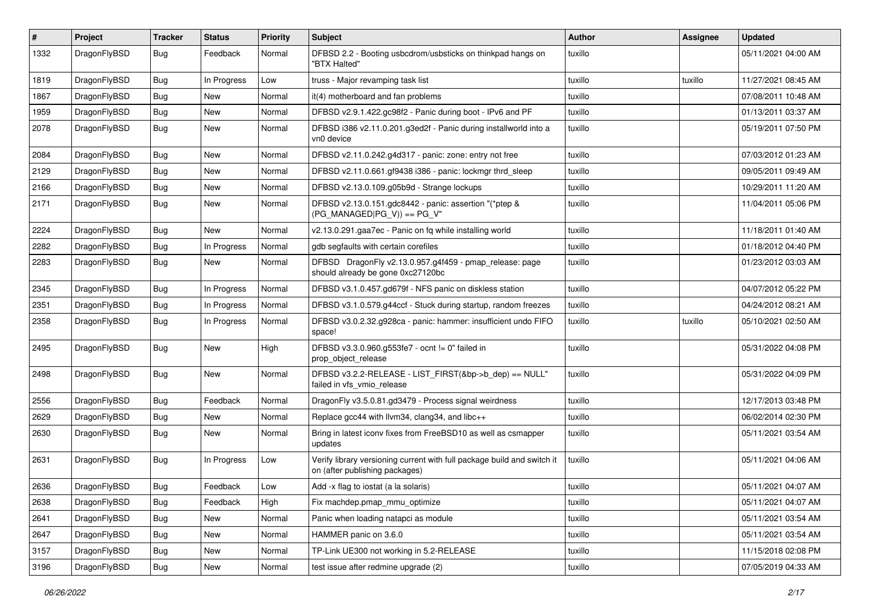| #    | Project      | <b>Tracker</b> | <b>Status</b> | <b>Priority</b> | Subject                                                                                                   | <b>Author</b> | <b>Assignee</b> | <b>Updated</b>      |
|------|--------------|----------------|---------------|-----------------|-----------------------------------------------------------------------------------------------------------|---------------|-----------------|---------------------|
| 1332 | DragonFlyBSD | Bug            | Feedback      | Normal          | DFBSD 2.2 - Booting usbcdrom/usbsticks on thinkpad hangs on<br>"BTX Halted"                               | tuxillo       |                 | 05/11/2021 04:00 AM |
| 1819 | DragonFlyBSD | <b>Bug</b>     | In Progress   | Low             | truss - Major revamping task list                                                                         | tuxillo       | tuxillo         | 11/27/2021 08:45 AM |
| 1867 | DragonFlyBSD | Bug            | New           | Normal          | it(4) motherboard and fan problems                                                                        | tuxillo       |                 | 07/08/2011 10:48 AM |
| 1959 | DragonFlyBSD | <b>Bug</b>     | New           | Normal          | DFBSD v2.9.1.422.gc98f2 - Panic during boot - IPv6 and PF                                                 | tuxillo       |                 | 01/13/2011 03:37 AM |
| 2078 | DragonFlyBSD | Bug            | New           | Normal          | DFBSD i386 v2.11.0.201.g3ed2f - Panic during installworld into a<br>vn0 device                            | tuxillo       |                 | 05/19/2011 07:50 PM |
| 2084 | DragonFlyBSD | <b>Bug</b>     | New           | Normal          | DFBSD v2.11.0.242.g4d317 - panic: zone: entry not free                                                    | tuxillo       |                 | 07/03/2012 01:23 AM |
| 2129 | DragonFlyBSD | Bug            | <b>New</b>    | Normal          | DFBSD v2.11.0.661.gf9438 i386 - panic: lockmgr thrd_sleep                                                 | tuxillo       |                 | 09/05/2011 09:49 AM |
| 2166 | DragonFlyBSD | Bug            | New           | Normal          | DFBSD v2.13.0.109.g05b9d - Strange lockups                                                                | tuxillo       |                 | 10/29/2011 11:20 AM |
| 2171 | DragonFlyBSD | <b>Bug</b>     | New           | Normal          | DFBSD v2.13.0.151.gdc8442 - panic: assertion "(*ptep &<br>$(PG_MANAGED PG_V)) == PG_V"$                   | tuxillo       |                 | 11/04/2011 05:06 PM |
| 2224 | DragonFlyBSD | Bug            | <b>New</b>    | Normal          | v2.13.0.291.gaa7ec - Panic on fq while installing world                                                   | tuxillo       |                 | 11/18/2011 01:40 AM |
| 2282 | DragonFlyBSD | <b>Bug</b>     | In Progress   | Normal          | gdb segfaults with certain corefiles                                                                      | tuxillo       |                 | 01/18/2012 04:40 PM |
| 2283 | DragonFlyBSD | Bug            | New           | Normal          | DFBSD DragonFly v2.13.0.957.g4f459 - pmap_release: page<br>should already be gone 0xc27120bc              | tuxillo       |                 | 01/23/2012 03:03 AM |
| 2345 | DragonFlyBSD | Bug            | In Progress   | Normal          | DFBSD v3.1.0.457.gd679f - NFS panic on diskless station                                                   | tuxillo       |                 | 04/07/2012 05:22 PM |
| 2351 | DragonFlyBSD | Bug            | In Progress   | Normal          | DFBSD v3.1.0.579.g44ccf - Stuck during startup, random freezes                                            | tuxillo       |                 | 04/24/2012 08:21 AM |
| 2358 | DragonFlyBSD | <b>Bug</b>     | In Progress   | Normal          | DFBSD v3.0.2.32.g928ca - panic: hammer: insufficient undo FIFO<br>space!                                  | tuxillo       | tuxillo         | 05/10/2021 02:50 AM |
| 2495 | DragonFlyBSD | Bug            | New           | High            | DFBSD v3.3.0.960.g553fe7 - ocnt != 0" failed in<br>prop_object_release                                    | tuxillo       |                 | 05/31/2022 04:08 PM |
| 2498 | DragonFlyBSD | Bug            | New           | Normal          | DFBSD v3.2.2-RELEASE - LIST_FIRST(&bp->b_dep) == NULL"<br>failed in vfs_vmio_release                      | tuxillo       |                 | 05/31/2022 04:09 PM |
| 2556 | DragonFlyBSD | Bug            | Feedback      | Normal          | DragonFly v3.5.0.81.gd3479 - Process signal weirdness                                                     | tuxillo       |                 | 12/17/2013 03:48 PM |
| 2629 | DragonFlyBSD | <b>Bug</b>     | <b>New</b>    | Normal          | Replace gcc44 with llvm34, clang34, and libc++                                                            | tuxillo       |                 | 06/02/2014 02:30 PM |
| 2630 | DragonFlyBSD | <b>Bug</b>     | New           | Normal          | Bring in latest iconv fixes from FreeBSD10 as well as csmapper<br>updates                                 | tuxillo       |                 | 05/11/2021 03:54 AM |
| 2631 | DragonFlyBSD | Bug            | In Progress   | Low             | Verify library versioning current with full package build and switch it<br>on (after publishing packages) | tuxillo       |                 | 05/11/2021 04:06 AM |
| 2636 | DragonFlyBSD | <b>Bug</b>     | Feedback      | Low             | Add -x flag to iostat (a la solaris)                                                                      | tuxillo       |                 | 05/11/2021 04:07 AM |
| 2638 | DragonFlyBSD | Bug            | Feedback      | High            | Fix machdep.pmap_mmu_optimize                                                                             | tuxillo       |                 | 05/11/2021 04:07 AM |
| 2641 | DragonFlyBSD | Bug            | New           | Normal          | Panic when loading natapci as module                                                                      | tuxillo       |                 | 05/11/2021 03:54 AM |
| 2647 | DragonFlyBSD | <b>Bug</b>     | New           | Normal          | HAMMER panic on 3.6.0                                                                                     | tuxillo       |                 | 05/11/2021 03:54 AM |
| 3157 | DragonFlyBSD | <b>Bug</b>     | New           | Normal          | TP-Link UE300 not working in 5.2-RELEASE                                                                  | tuxillo       |                 | 11/15/2018 02:08 PM |
| 3196 | DragonFlyBSD | <b>Bug</b>     | New           | Normal          | test issue after redmine upgrade (2)                                                                      | tuxillo       |                 | 07/05/2019 04:33 AM |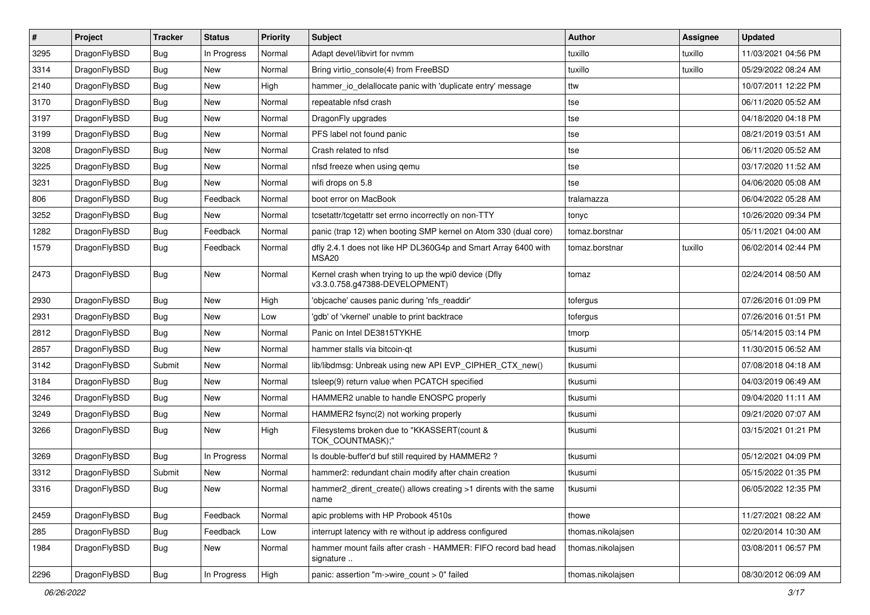| $\sharp$ | Project      | <b>Tracker</b> | <b>Status</b> | <b>Priority</b> | Subject                                                                                | <b>Author</b>     | Assignee | <b>Updated</b>      |
|----------|--------------|----------------|---------------|-----------------|----------------------------------------------------------------------------------------|-------------------|----------|---------------------|
| 3295     | DragonFlyBSD | Bug            | In Progress   | Normal          | Adapt devel/libvirt for nvmm                                                           | tuxillo           | tuxillo  | 11/03/2021 04:56 PM |
| 3314     | DragonFlyBSD | Bug            | <b>New</b>    | Normal          | Bring virtio_console(4) from FreeBSD                                                   | tuxillo           | tuxillo  | 05/29/2022 08:24 AM |
| 2140     | DragonFlyBSD | Bug            | New           | High            | hammer_io_delallocate panic with 'duplicate entry' message                             | ttw               |          | 10/07/2011 12:22 PM |
| 3170     | DragonFlyBSD | Bug            | New           | Normal          | repeatable nfsd crash                                                                  | tse               |          | 06/11/2020 05:52 AM |
| 3197     | DragonFlyBSD | Bug            | <b>New</b>    | Normal          | DragonFly upgrades                                                                     | tse               |          | 04/18/2020 04:18 PM |
| 3199     | DragonFlyBSD | Bug            | New           | Normal          | PFS label not found panic                                                              | tse               |          | 08/21/2019 03:51 AM |
| 3208     | DragonFlyBSD | Bug            | New           | Normal          | Crash related to nfsd                                                                  | tse               |          | 06/11/2020 05:52 AM |
| 3225     | DragonFlyBSD | Bug            | New           | Normal          | nfsd freeze when using gemu                                                            | tse               |          | 03/17/2020 11:52 AM |
| 3231     | DragonFlyBSD | Bug            | New           | Normal          | wifi drops on 5.8                                                                      | tse               |          | 04/06/2020 05:08 AM |
| 806      | DragonFlyBSD | Bug            | Feedback      | Normal          | boot error on MacBook                                                                  | tralamazza        |          | 06/04/2022 05:28 AM |
| 3252     | DragonFlyBSD | Bug            | <b>New</b>    | Normal          | tcsetattr/tcgetattr set errno incorrectly on non-TTY                                   | tonyc             |          | 10/26/2020 09:34 PM |
| 1282     | DragonFlyBSD | <b>Bug</b>     | Feedback      | Normal          | panic (trap 12) when booting SMP kernel on Atom 330 (dual core)                        | tomaz.borstnar    |          | 05/11/2021 04:00 AM |
| 1579     | DragonFlyBSD | Bug            | Feedback      | Normal          | dfly 2.4.1 does not like HP DL360G4p and Smart Array 6400 with<br>MSA20                | tomaz.borstnar    | tuxillo  | 06/02/2014 02:44 PM |
| 2473     | DragonFlyBSD | Bug            | New           | Normal          | Kernel crash when trying to up the wpi0 device (Dfly<br>v3.3.0.758.g47388-DEVELOPMENT) | tomaz             |          | 02/24/2014 08:50 AM |
| 2930     | DragonFlyBSD | Bug            | <b>New</b>    | High            | 'objcache' causes panic during 'nfs_readdir'                                           | tofergus          |          | 07/26/2016 01:09 PM |
| 2931     | DragonFlyBSD | Bug            | <b>New</b>    | Low             | 'gdb' of 'vkernel' unable to print backtrace                                           | tofergus          |          | 07/26/2016 01:51 PM |
| 2812     | DragonFlyBSD | Bug            | New           | Normal          | Panic on Intel DE3815TYKHE                                                             | tmorp             |          | 05/14/2015 03:14 PM |
| 2857     | DragonFlyBSD | Bug            | New           | Normal          | hammer stalls via bitcoin-qt                                                           | tkusumi           |          | 11/30/2015 06:52 AM |
| 3142     | DragonFlyBSD | Submit         | <b>New</b>    | Normal          | lib/libdmsg: Unbreak using new API EVP_CIPHER_CTX_new()                                | tkusumi           |          | 07/08/2018 04:18 AM |
| 3184     | DragonFlyBSD | Bug            | New           | Normal          | tsleep(9) return value when PCATCH specified                                           | tkusumi           |          | 04/03/2019 06:49 AM |
| 3246     | DragonFlyBSD | Bug            | New           | Normal          | HAMMER2 unable to handle ENOSPC properly                                               | tkusumi           |          | 09/04/2020 11:11 AM |
| 3249     | DragonFlyBSD | Bug            | <b>New</b>    | Normal          | HAMMER2 fsync(2) not working properly                                                  | tkusumi           |          | 09/21/2020 07:07 AM |
| 3266     | DragonFlyBSD | Bug            | New           | High            | Filesystems broken due to "KKASSERT(count &<br>TOK_COUNTMASK);"                        | tkusumi           |          | 03/15/2021 01:21 PM |
| 3269     | DragonFlyBSD | Bug            | In Progress   | Normal          | Is double-buffer'd buf still required by HAMMER2?                                      | tkusumi           |          | 05/12/2021 04:09 PM |
| 3312     | DragonFlyBSD | Submit         | <b>New</b>    | Normal          | hammer2: redundant chain modify after chain creation                                   | tkusumi           |          | 05/15/2022 01:35 PM |
| 3316     | DragonFlyBSD | Bug            | New           | Normal          | hammer2_dirent_create() allows creating >1 dirents with the same<br>name               | tkusumi           |          | 06/05/2022 12:35 PM |
| 2459     | DragonFlyBSD | <b>Bug</b>     | Feedback      | Normal          | apic problems with HP Probook 4510s                                                    | thowe             |          | 11/27/2021 08:22 AM |
| 285      | DragonFlyBSD | <b>Bug</b>     | Feedback      | Low             | interrupt latency with re without ip address configured                                | thomas.nikolajsen |          | 02/20/2014 10:30 AM |
| 1984     | DragonFlyBSD | <b>Bug</b>     | New           | Normal          | hammer mount fails after crash - HAMMER: FIFO record bad head<br>signature             | thomas.nikolajsen |          | 03/08/2011 06:57 PM |
| 2296     | DragonFlyBSD | Bug            | In Progress   | High            | panic: assertion "m->wire_count > 0" failed                                            | thomas.nikolajsen |          | 08/30/2012 06:09 AM |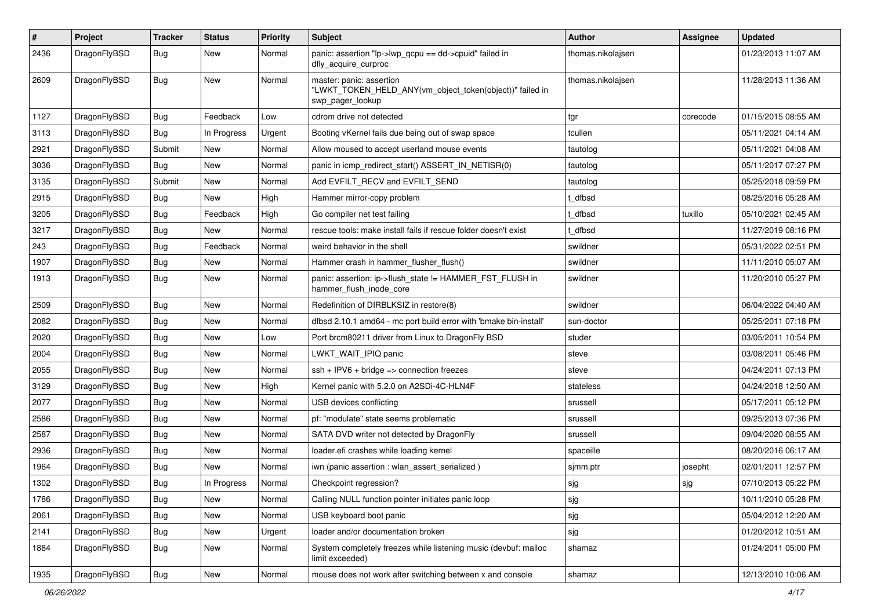| $\pmb{\#}$ | Project      | <b>Tracker</b> | <b>Status</b> | <b>Priority</b> | <b>Subject</b>                                                                                           | <b>Author</b>     | <b>Assignee</b> | <b>Updated</b>      |
|------------|--------------|----------------|---------------|-----------------|----------------------------------------------------------------------------------------------------------|-------------------|-----------------|---------------------|
| 2436       | DragonFlyBSD | Bug            | New           | Normal          | panic: assertion "lp->lwp_qcpu == dd->cpuid" failed in<br>dfly_acquire_curproc                           | thomas.nikolajsen |                 | 01/23/2013 11:07 AM |
| 2609       | DragonFlyBSD | Bug            | <b>New</b>    | Normal          | master: panic: assertion<br>"LWKT TOKEN HELD ANY(vm object token(object))" failed in<br>swp_pager_lookup | thomas.nikolajsen |                 | 11/28/2013 11:36 AM |
| 1127       | DragonFlyBSD | Bug            | Feedback      | Low             | cdrom drive not detected                                                                                 | tgr               | corecode        | 01/15/2015 08:55 AM |
| 3113       | DragonFlyBSD | Bug            | In Progress   | Urgent          | Booting vKernel fails due being out of swap space                                                        | tcullen           |                 | 05/11/2021 04:14 AM |
| 2921       | DragonFlyBSD | Submit         | New           | Normal          | Allow moused to accept userland mouse events                                                             | tautolog          |                 | 05/11/2021 04:08 AM |
| 3036       | DragonFlyBSD | <b>Bug</b>     | <b>New</b>    | Normal          | panic in icmp_redirect_start() ASSERT_IN_NETISR(0)                                                       | tautolog          |                 | 05/11/2017 07:27 PM |
| 3135       | DragonFlyBSD | Submit         | <b>New</b>    | Normal          | Add EVFILT_RECV and EVFILT_SEND                                                                          | tautolog          |                 | 05/25/2018 09:59 PM |
| 2915       | DragonFlyBSD | Bug            | New           | High            | Hammer mirror-copy problem                                                                               | dfbsd             |                 | 08/25/2016 05:28 AM |
| 3205       | DragonFlyBSD | Bug            | Feedback      | High            | Go compiler net test failing                                                                             | dfbsd             | tuxillo         | 05/10/2021 02:45 AM |
| 3217       | DragonFlyBSD | Bug            | <b>New</b>    | Normal          | rescue tools: make install fails if rescue folder doesn't exist                                          | dfbsd             |                 | 11/27/2019 08:16 PM |
| 243        | DragonFlyBSD | Bug            | Feedback      | Normal          | weird behavior in the shell                                                                              | swildner          |                 | 05/31/2022 02:51 PM |
| 1907       | DragonFlyBSD | Bug            | New           | Normal          | Hammer crash in hammer_flusher_flush()                                                                   | swildner          |                 | 11/11/2010 05:07 AM |
| 1913       | DragonFlyBSD | Bug            | <b>New</b>    | Normal          | panic: assertion: ip->flush_state != HAMMER_FST_FLUSH in<br>hammer_flush_inode_core                      | swildner          |                 | 11/20/2010 05:27 PM |
| 2509       | DragonFlyBSD | Bug            | <b>New</b>    | Normal          | Redefinition of DIRBLKSIZ in restore(8)                                                                  | swildner          |                 | 06/04/2022 04:40 AM |
| 2082       | DragonFlyBSD | <b>Bug</b>     | <b>New</b>    | Normal          | dfbsd 2.10.1 amd64 - mc port build error with 'bmake bin-install'                                        | sun-doctor        |                 | 05/25/2011 07:18 PM |
| 2020       | DragonFlyBSD | <b>Bug</b>     | <b>New</b>    | Low             | Port brcm80211 driver from Linux to DragonFly BSD                                                        | studer            |                 | 03/05/2011 10:54 PM |
| 2004       | DragonFlyBSD | Bug            | <b>New</b>    | Normal          | LWKT_WAIT_IPIQ panic                                                                                     | steve             |                 | 03/08/2011 05:46 PM |
| 2055       | DragonFlyBSD | Bug            | <b>New</b>    | Normal          | $ssh + IPV6 + bridge \Rightarrow connection freezes$                                                     | steve             |                 | 04/24/2011 07:13 PM |
| 3129       | DragonFlyBSD | Bug            | New           | High            | Kernel panic with 5.2.0 on A2SDi-4C-HLN4F                                                                | stateless         |                 | 04/24/2018 12:50 AM |
| 2077       | DragonFlyBSD | Bug            | New           | Normal          | USB devices conflicting                                                                                  | srussell          |                 | 05/17/2011 05:12 PM |
| 2586       | DragonFlyBSD | Bug            | <b>New</b>    | Normal          | pf: "modulate" state seems problematic                                                                   | srussell          |                 | 09/25/2013 07:36 PM |
| 2587       | DragonFlyBSD | <b>Bug</b>     | <b>New</b>    | Normal          | SATA DVD writer not detected by DragonFly                                                                | srussell          |                 | 09/04/2020 08:55 AM |
| 2936       | DragonFlyBSD | Bug            | New           | Normal          | loader.efi crashes while loading kernel                                                                  | spaceille         |                 | 08/20/2016 06:17 AM |
| 1964       | DragonFlyBSD | Bug            | New           | Normal          | iwn (panic assertion : wlan assert serialized)                                                           | sjmm.ptr          | josepht         | 02/01/2011 12:57 PM |
| 1302       | DragonFlyBSD | <b>Bug</b>     | In Progress   | Normal          | Checkpoint regression?                                                                                   | sjg               | sjg             | 07/10/2013 05:22 PM |
| 1786       | DragonFlyBSD | <b>Bug</b>     | New           | Normal          | Calling NULL function pointer initiates panic loop                                                       | sjg               |                 | 10/11/2010 05:28 PM |
| 2061       | DragonFlyBSD | Bug            | New           | Normal          | USB keyboard boot panic                                                                                  | sjg               |                 | 05/04/2012 12:20 AM |
| 2141       | DragonFlyBSD | <b>Bug</b>     | New           | Urgent          | loader and/or documentation broken                                                                       | sjg               |                 | 01/20/2012 10:51 AM |
| 1884       | DragonFlyBSD | Bug            | New           | Normal          | System completely freezes while listening music (devbuf: malloc<br>limit exceeded)                       | shamaz            |                 | 01/24/2011 05:00 PM |
| 1935       | DragonFlyBSD | <b>Bug</b>     | New           | Normal          | mouse does not work after switching between x and console                                                | shamaz            |                 | 12/13/2010 10:06 AM |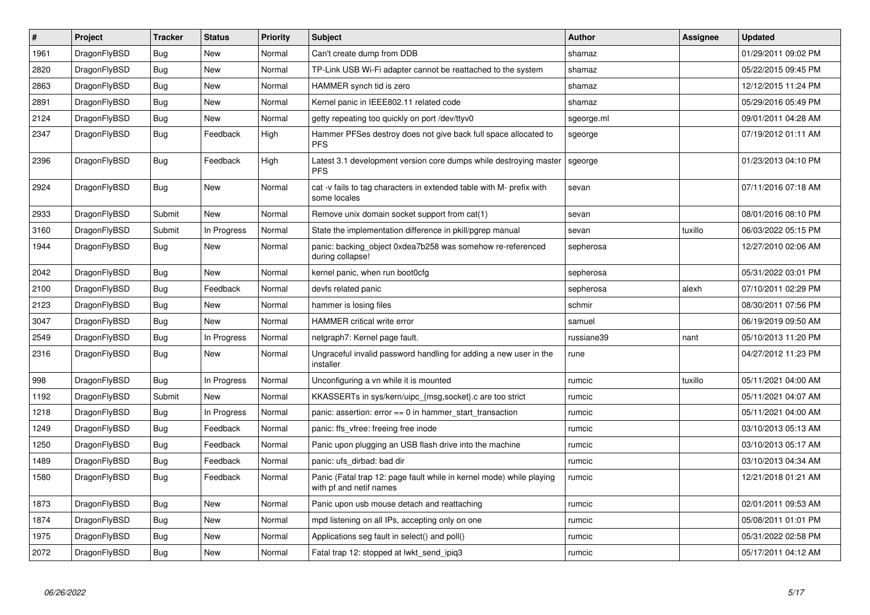| $\vert$ # | Project      | <b>Tracker</b> | <b>Status</b> | <b>Priority</b> | <b>Subject</b>                                                                                  | Author     | Assignee | <b>Updated</b>      |
|-----------|--------------|----------------|---------------|-----------------|-------------------------------------------------------------------------------------------------|------------|----------|---------------------|
| 1961      | DragonFlyBSD | <b>Bug</b>     | <b>New</b>    | Normal          | Can't create dump from DDB                                                                      | shamaz     |          | 01/29/2011 09:02 PM |
| 2820      | DragonFlyBSD | Bug            | <b>New</b>    | Normal          | TP-Link USB Wi-Fi adapter cannot be reattached to the system                                    | shamaz     |          | 05/22/2015 09:45 PM |
| 2863      | DragonFlyBSD | <b>Bug</b>     | <b>New</b>    | Normal          | HAMMER synch tid is zero                                                                        | shamaz     |          | 12/12/2015 11:24 PM |
| 2891      | DragonFlyBSD | Bug            | New           | Normal          | Kernel panic in IEEE802.11 related code                                                         | shamaz     |          | 05/29/2016 05:49 PM |
| 2124      | DragonFlyBSD | Bug            | <b>New</b>    | Normal          | getty repeating too quickly on port /dev/ttyv0                                                  | sgeorge.ml |          | 09/01/2011 04:28 AM |
| 2347      | DragonFlyBSD | Bug            | Feedback      | High            | Hammer PFSes destroy does not give back full space allocated to<br><b>PFS</b>                   | sgeorge    |          | 07/19/2012 01:11 AM |
| 2396      | DragonFlyBSD | <b>Bug</b>     | Feedback      | High            | Latest 3.1 development version core dumps while destroying master<br><b>PFS</b>                 | sgeorge    |          | 01/23/2013 04:10 PM |
| 2924      | DragonFlyBSD | Bug            | New           | Normal          | cat -v fails to tag characters in extended table with M- prefix with<br>some locales            | sevan      |          | 07/11/2016 07:18 AM |
| 2933      | DragonFlyBSD | Submit         | New           | Normal          | Remove unix domain socket support from cat(1)                                                   | sevan      |          | 08/01/2016 08:10 PM |
| 3160      | DragonFlyBSD | Submit         | In Progress   | Normal          | State the implementation difference in pkill/pgrep manual                                       | sevan      | tuxillo  | 06/03/2022 05:15 PM |
| 1944      | DragonFlyBSD | Bug            | <b>New</b>    | Normal          | panic: backing object 0xdea7b258 was somehow re-referenced<br>during collapse!                  | sepherosa  |          | 12/27/2010 02:06 AM |
| 2042      | DragonFlyBSD | Bug            | New           | Normal          | kernel panic, when run boot0cfg                                                                 | sepherosa  |          | 05/31/2022 03:01 PM |
| 2100      | DragonFlyBSD | <b>Bug</b>     | Feedback      | Normal          | devfs related panic                                                                             | sepherosa  | alexh    | 07/10/2011 02:29 PM |
| 2123      | DragonFlyBSD | <b>Bug</b>     | <b>New</b>    | Normal          | hammer is losing files                                                                          | schmir     |          | 08/30/2011 07:56 PM |
| 3047      | DragonFlyBSD | <b>Bug</b>     | <b>New</b>    | Normal          | <b>HAMMER</b> critical write error                                                              | samuel     |          | 06/19/2019 09:50 AM |
| 2549      | DragonFlyBSD | <b>Bug</b>     | In Progress   | Normal          | netgraph7: Kernel page fault.                                                                   | russiane39 | nant     | 05/10/2013 11:20 PM |
| 2316      | DragonFlyBSD | <b>Bug</b>     | <b>New</b>    | Normal          | Ungraceful invalid password handling for adding a new user in the<br>installer                  | rune       |          | 04/27/2012 11:23 PM |
| 998       | DragonFlyBSD | Bug            | In Progress   | Normal          | Unconfiguring a vn while it is mounted                                                          | rumcic     | tuxillo  | 05/11/2021 04:00 AM |
| 1192      | DragonFlyBSD | Submit         | <b>New</b>    | Normal          | KKASSERTs in sys/kern/uipc {msg,socket}.c are too strict                                        | rumcic     |          | 05/11/2021 04:07 AM |
| 1218      | DragonFlyBSD | <b>Bug</b>     | In Progress   | Normal          | panic: assertion: error == 0 in hammer_start_transaction                                        | rumcic     |          | 05/11/2021 04:00 AM |
| 1249      | DragonFlyBSD | Bug            | Feedback      | Normal          | panic: ffs vfree: freeing free inode                                                            | rumcic     |          | 03/10/2013 05:13 AM |
| 1250      | DragonFlyBSD | <b>Bug</b>     | Feedback      | Normal          | Panic upon plugging an USB flash drive into the machine                                         | rumcic     |          | 03/10/2013 05:17 AM |
| 1489      | DragonFlyBSD | <b>Bug</b>     | Feedback      | Normal          | panic: ufs dirbad: bad dir                                                                      | rumcic     |          | 03/10/2013 04:34 AM |
| 1580      | DragonFlyBSD | <b>Bug</b>     | Feedback      | Normal          | Panic (Fatal trap 12: page fault while in kernel mode) while playing<br>with pf and netif names | rumcic     |          | 12/21/2018 01:21 AM |
| 1873      | DragonFlyBSD | <b>Bug</b>     | <b>New</b>    | Normal          | Panic upon usb mouse detach and reattaching                                                     | rumcic     |          | 02/01/2011 09:53 AM |
| 1874      | DragonFlyBSD | <b>Bug</b>     | <b>New</b>    | Normal          | mpd listening on all IPs, accepting only on one                                                 | rumcic     |          | 05/08/2011 01:01 PM |
| 1975      | DragonFlyBSD | Bug            | New           | Normal          | Applications seg fault in select() and poll()                                                   | rumcic     |          | 05/31/2022 02:58 PM |
| 2072      | DragonFlyBSD | Bug            | New           | Normal          | Fatal trap 12: stopped at lwkt_send_ipiq3                                                       | rumcic     |          | 05/17/2011 04:12 AM |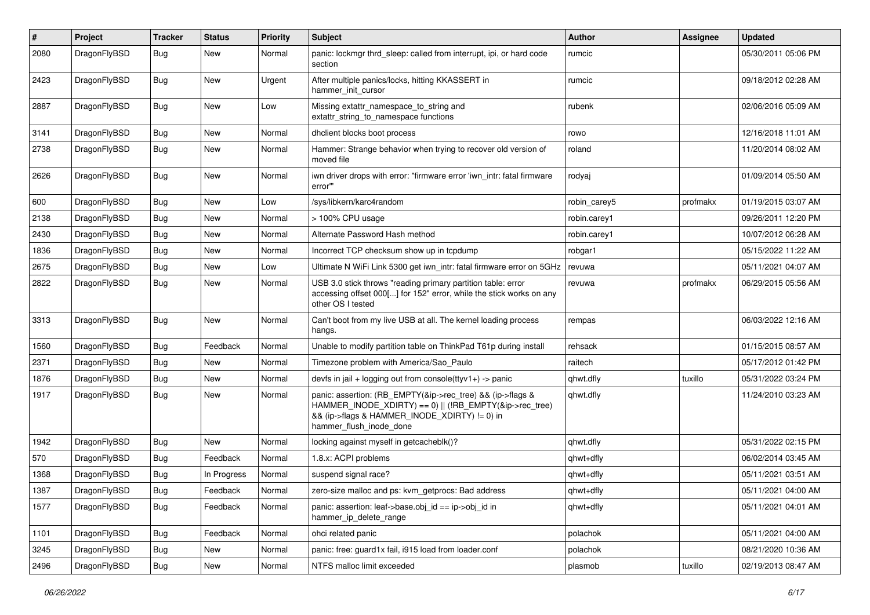| #    | Project      | <b>Tracker</b> | <b>Status</b> | <b>Priority</b> | Subject                                                                                                                                                                                           | Author       | Assignee | <b>Updated</b>      |
|------|--------------|----------------|---------------|-----------------|---------------------------------------------------------------------------------------------------------------------------------------------------------------------------------------------------|--------------|----------|---------------------|
| 2080 | DragonFlyBSD | Bug            | <b>New</b>    | Normal          | panic: lockmgr thrd sleep: called from interrupt, ipi, or hard code<br>section                                                                                                                    | rumcic       |          | 05/30/2011 05:06 PM |
| 2423 | DragonFlyBSD | Bug            | <b>New</b>    | Urgent          | After multiple panics/locks, hitting KKASSERT in<br>hammer init cursor                                                                                                                            | rumcic       |          | 09/18/2012 02:28 AM |
| 2887 | DragonFlyBSD | <b>Bug</b>     | <b>New</b>    | Low             | Missing extattr_namespace_to_string and<br>extattr string to namespace functions                                                                                                                  | rubenk       |          | 02/06/2016 05:09 AM |
| 3141 | DragonFlyBSD | Bug            | <b>New</b>    | Normal          | dhclient blocks boot process                                                                                                                                                                      | rowo         |          | 12/16/2018 11:01 AM |
| 2738 | DragonFlyBSD | <b>Bug</b>     | New           | Normal          | Hammer: Strange behavior when trying to recover old version of<br>moved file                                                                                                                      | roland       |          | 11/20/2014 08:02 AM |
| 2626 | DragonFlyBSD | Bug            | <b>New</b>    | Normal          | iwn driver drops with error: "firmware error 'iwn intr: fatal firmware<br>error"                                                                                                                  | rodyaj       |          | 01/09/2014 05:50 AM |
| 600  | DragonFlyBSD | <b>Bug</b>     | <b>New</b>    | Low             | /sys/libkern/karc4random                                                                                                                                                                          | robin_carey5 | profmakx | 01/19/2015 03:07 AM |
| 2138 | DragonFlyBSD | <b>Bug</b>     | New           | Normal          | $>$ 100% CPU usage                                                                                                                                                                                | robin.carey1 |          | 09/26/2011 12:20 PM |
| 2430 | DragonFlyBSD | <b>Bug</b>     | New           | Normal          | Alternate Password Hash method                                                                                                                                                                    | robin.carey1 |          | 10/07/2012 06:28 AM |
| 1836 | DragonFlyBSD | Bug            | New           | Normal          | Incorrect TCP checksum show up in tcpdump                                                                                                                                                         | robgar1      |          | 05/15/2022 11:22 AM |
| 2675 | DragonFlyBSD | Bug            | New           | Low             | Ultimate N WiFi Link 5300 get iwn_intr: fatal firmware error on 5GHz                                                                                                                              | revuwa       |          | 05/11/2021 04:07 AM |
| 2822 | DragonFlyBSD | Bug            | New           | Normal          | USB 3.0 stick throws "reading primary partition table: error<br>accessing offset 000[] for 152" error, while the stick works on any<br>other OS I tested                                          | revuwa       | profmakx | 06/29/2015 05:56 AM |
| 3313 | DragonFlyBSD | Bug            | <b>New</b>    | Normal          | Can't boot from my live USB at all. The kernel loading process<br>hangs.                                                                                                                          | rempas       |          | 06/03/2022 12:16 AM |
| 1560 | DragonFlyBSD | <b>Bug</b>     | Feedback      | Normal          | Unable to modify partition table on ThinkPad T61p during install                                                                                                                                  | rehsack      |          | 01/15/2015 08:57 AM |
| 2371 | DragonFlyBSD | Bug            | New           | Normal          | Timezone problem with America/Sao Paulo                                                                                                                                                           | raitech      |          | 05/17/2012 01:42 PM |
| 1876 | DragonFlyBSD | <b>Bug</b>     | <b>New</b>    | Normal          | devfs in jail + logging out from console(ttyv1+) -> panic                                                                                                                                         | qhwt.dfly    | tuxillo  | 05/31/2022 03:24 PM |
| 1917 | DragonFlyBSD | <b>Bug</b>     | New           | Normal          | panic: assertion: (RB_EMPTY(&ip->rec_tree) && (ip->flags &<br>HAMMER_INODE_XDIRTY) == 0)    (!RB_EMPTY(&ip->rec_tree)<br>&& (ip->flags & HAMMER_INODE_XDIRTY) != 0) in<br>hammer_flush_inode_done | qhwt.dfly    |          | 11/24/2010 03:23 AM |
| 1942 | DragonFlyBSD | Bug            | <b>New</b>    | Normal          | locking against myself in getcacheblk()?                                                                                                                                                          | qhwt.dfly    |          | 05/31/2022 02:15 PM |
| 570  | DragonFlyBSD | Bug            | Feedback      | Normal          | 1.8.x: ACPI problems                                                                                                                                                                              | qhwt+dfly    |          | 06/02/2014 03:45 AM |
| 1368 | DragonFlyBSD | Bug            | In Progress   | Normal          | suspend signal race?                                                                                                                                                                              | qhwt+dfly    |          | 05/11/2021 03:51 AM |
| 1387 | DragonFlyBSD | <b>Bug</b>     | Feedback      | Normal          | zero-size malloc and ps: kvm_getprocs: Bad address                                                                                                                                                | qhwt+dfly    |          | 05/11/2021 04:00 AM |
| 1577 | DragonFlyBSD | <b>Bug</b>     | Feedback      | Normal          | panic: assertion: leaf->base.obj_id == ip->obj_id in<br>hammer_ip_delete_range                                                                                                                    | qhwt+dfly    |          | 05/11/2021 04:01 AM |
| 1101 | DragonFlyBSD | Bug            | Feedback      | Normal          | ohci related panic                                                                                                                                                                                | polachok     |          | 05/11/2021 04:00 AM |
| 3245 | DragonFlyBSD | <b>Bug</b>     | New           | Normal          | panic: free: guard1x fail, i915 load from loader.conf                                                                                                                                             | polachok     |          | 08/21/2020 10:36 AM |
| 2496 | DragonFlyBSD | <b>Bug</b>     | New           | Normal          | NTFS malloc limit exceeded                                                                                                                                                                        | plasmob      | tuxillo  | 02/19/2013 08:47 AM |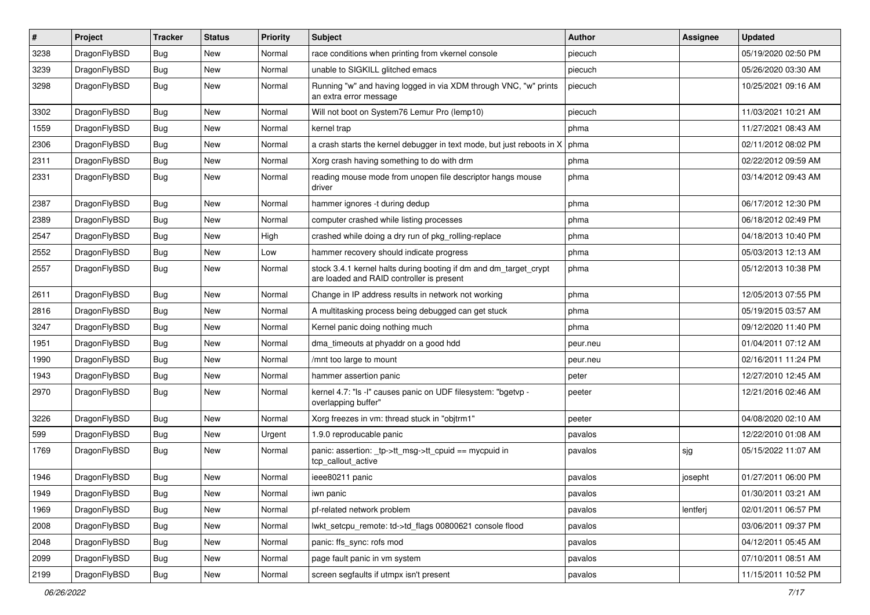| $\sharp$ | Project      | <b>Tracker</b> | <b>Status</b> | <b>Priority</b> | Subject                                                                                                        | Author   | Assignee | <b>Updated</b>      |
|----------|--------------|----------------|---------------|-----------------|----------------------------------------------------------------------------------------------------------------|----------|----------|---------------------|
| 3238     | DragonFlyBSD | <b>Bug</b>     | New           | Normal          | race conditions when printing from vkernel console                                                             | piecuch  |          | 05/19/2020 02:50 PM |
| 3239     | DragonFlyBSD | Bug            | New           | Normal          | unable to SIGKILL glitched emacs                                                                               | piecuch  |          | 05/26/2020 03:30 AM |
| 3298     | DragonFlyBSD | <b>Bug</b>     | New           | Normal          | Running "w" and having logged in via XDM through VNC, "w" prints<br>an extra error message                     | piecuch  |          | 10/25/2021 09:16 AM |
| 3302     | DragonFlyBSD | Bug            | <b>New</b>    | Normal          | Will not boot on System76 Lemur Pro (lemp10)                                                                   | piecuch  |          | 11/03/2021 10:21 AM |
| 1559     | DragonFlyBSD | <b>Bug</b>     | New           | Normal          | kernel trap                                                                                                    | phma     |          | 11/27/2021 08:43 AM |
| 2306     | DragonFlyBSD | <b>Bug</b>     | New           | Normal          | a crash starts the kernel debugger in text mode, but just reboots in X                                         | phma     |          | 02/11/2012 08:02 PM |
| 2311     | DragonFlyBSD | Bug            | <b>New</b>    | Normal          | Xorg crash having something to do with drm                                                                     | phma     |          | 02/22/2012 09:59 AM |
| 2331     | DragonFlyBSD | <b>Bug</b>     | New           | Normal          | reading mouse mode from unopen file descriptor hangs mouse<br>driver                                           | phma     |          | 03/14/2012 09:43 AM |
| 2387     | DragonFlyBSD | Bug            | <b>New</b>    | Normal          | hammer ignores -t during dedup                                                                                 | phma     |          | 06/17/2012 12:30 PM |
| 2389     | DragonFlyBSD | <b>Bug</b>     | <b>New</b>    | Normal          | computer crashed while listing processes                                                                       | phma     |          | 06/18/2012 02:49 PM |
| 2547     | DragonFlyBSD | <b>Bug</b>     | New           | High            | crashed while doing a dry run of pkg_rolling-replace                                                           | phma     |          | 04/18/2013 10:40 PM |
| 2552     | DragonFlyBSD | <b>Bug</b>     | New           | Low             | hammer recovery should indicate progress                                                                       | phma     |          | 05/03/2013 12:13 AM |
| 2557     | DragonFlyBSD | <b>Bug</b>     | New           | Normal          | stock 3.4.1 kernel halts during booting if dm and dm_target_crypt<br>are loaded and RAID controller is present | phma     |          | 05/12/2013 10:38 PM |
| 2611     | DragonFlyBSD | Bug            | <b>New</b>    | Normal          | Change in IP address results in network not working                                                            | phma     |          | 12/05/2013 07:55 PM |
| 2816     | DragonFlyBSD | Bug            | <b>New</b>    | Normal          | A multitasking process being debugged can get stuck                                                            | phma     |          | 05/19/2015 03:57 AM |
| 3247     | DragonFlyBSD | <b>Bug</b>     | New           | Normal          | Kernel panic doing nothing much                                                                                | phma     |          | 09/12/2020 11:40 PM |
| 1951     | DragonFlyBSD | <b>Bug</b>     | <b>New</b>    | Normal          | dma_timeouts at phyaddr on a good hdd                                                                          | peur.neu |          | 01/04/2011 07:12 AM |
| 1990     | DragonFlyBSD | <b>Bug</b>     | New           | Normal          | /mnt too large to mount                                                                                        | peur.neu |          | 02/16/2011 11:24 PM |
| 1943     | DragonFlyBSD | <b>Bug</b>     | New           | Normal          | hammer assertion panic                                                                                         | peter    |          | 12/27/2010 12:45 AM |
| 2970     | DragonFlyBSD | <b>Bug</b>     | New           | Normal          | kernel 4.7: "Is -I" causes panic on UDF filesystem: "bgetvp -<br>overlapping buffer"                           | peeter   |          | 12/21/2016 02:46 AM |
| 3226     | DragonFlyBSD | Bug            | New           | Normal          | Xorg freezes in vm: thread stuck in "objtrm1"                                                                  | peeter   |          | 04/08/2020 02:10 AM |
| 599      | DragonFlyBSD | Bug            | New           | Urgent          | 1.9.0 reproducable panic                                                                                       | pavalos  |          | 12/22/2010 01:08 AM |
| 1769     | DragonFlyBSD | Bug            | New           | Normal          | panic: assertion: _tp->tt_msg->tt_cpuid == mycpuid in<br>tcp_callout_active                                    | pavalos  | sjg      | 05/15/2022 11:07 AM |
| 1946     | DragonFlyBSD | <b>Bug</b>     | New           | Normal          | ieee80211 panic                                                                                                | pavalos  | josepht  | 01/27/2011 06:00 PM |
| 1949     | DragonFlyBSD | <b>Bug</b>     | <b>New</b>    | Normal          | iwn panic                                                                                                      | pavalos  |          | 01/30/2011 03:21 AM |
| 1969     | DragonFlyBSD | <b>Bug</b>     | New           | Normal          | pf-related network problem                                                                                     | pavalos  | lentferj | 02/01/2011 06:57 PM |
| 2008     | DragonFlyBSD | <b>Bug</b>     | New           | Normal          | lwkt_setcpu_remote: td->td_flags 00800621 console flood                                                        | pavalos  |          | 03/06/2011 09:37 PM |
| 2048     | DragonFlyBSD | <b>Bug</b>     | New           | Normal          | panic: ffs_sync: rofs mod                                                                                      | pavalos  |          | 04/12/2011 05:45 AM |
| 2099     | DragonFlyBSD | <b>Bug</b>     | <b>New</b>    | Normal          | page fault panic in vm system                                                                                  | pavalos  |          | 07/10/2011 08:51 AM |
| 2199     | DragonFlyBSD | <b>Bug</b>     | New           | Normal          | screen segfaults if utmpx isn't present                                                                        | pavalos  |          | 11/15/2011 10:52 PM |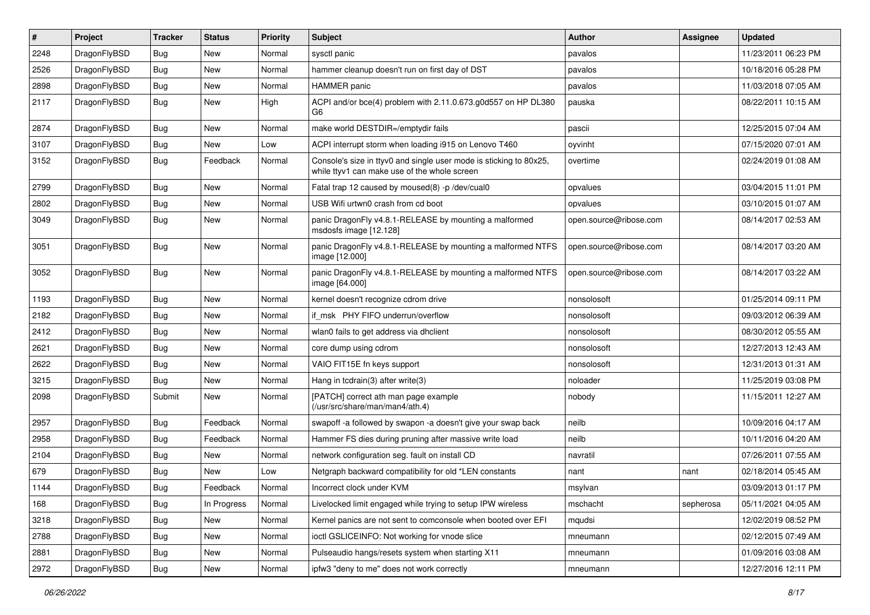| #    | Project      | <b>Tracker</b> | <b>Status</b> | <b>Priority</b> | Subject                                                                                                            | <b>Author</b>          | Assignee  | <b>Updated</b>      |
|------|--------------|----------------|---------------|-----------------|--------------------------------------------------------------------------------------------------------------------|------------------------|-----------|---------------------|
| 2248 | DragonFlyBSD | Bug            | <b>New</b>    | Normal          | sysctl panic                                                                                                       | pavalos                |           | 11/23/2011 06:23 PM |
| 2526 | DragonFlyBSD | <b>Bug</b>     | <b>New</b>    | Normal          | hammer cleanup doesn't run on first day of DST                                                                     | pavalos                |           | 10/18/2016 05:28 PM |
| 2898 | DragonFlyBSD | Bug            | <b>New</b>    | Normal          | HAMMER panic                                                                                                       | pavalos                |           | 11/03/2018 07:05 AM |
| 2117 | DragonFlyBSD | Bug            | <b>New</b>    | High            | ACPI and/or bce(4) problem with 2.11.0.673.g0d557 on HP DL380<br>G6                                                | pauska                 |           | 08/22/2011 10:15 AM |
| 2874 | DragonFlyBSD | <b>Bug</b>     | New           | Normal          | make world DESTDIR=/emptydir fails                                                                                 | pascii                 |           | 12/25/2015 07:04 AM |
| 3107 | DragonFlyBSD | Bug            | New           | Low             | ACPI interrupt storm when loading i915 on Lenovo T460                                                              | oyvinht                |           | 07/15/2020 07:01 AM |
| 3152 | DragonFlyBSD | <b>Bug</b>     | Feedback      | Normal          | Console's size in ttyv0 and single user mode is sticking to 80x25,<br>while ttyv1 can make use of the whole screen | overtime               |           | 02/24/2019 01:08 AM |
| 2799 | DragonFlyBSD | <b>Bug</b>     | <b>New</b>    | Normal          | Fatal trap 12 caused by moused(8) -p /dev/cual0                                                                    | opvalues               |           | 03/04/2015 11:01 PM |
| 2802 | DragonFlyBSD | <b>Bug</b>     | <b>New</b>    | Normal          | USB Wifi urtwn0 crash from cd boot                                                                                 | opvalues               |           | 03/10/2015 01:07 AM |
| 3049 | DragonFlyBSD | <b>Bug</b>     | <b>New</b>    | Normal          | panic DragonFly v4.8.1-RELEASE by mounting a malformed<br>msdosfs image [12.128]                                   | open.source@ribose.com |           | 08/14/2017 02:53 AM |
| 3051 | DragonFlyBSD | <b>Bug</b>     | New           | Normal          | panic DragonFly v4.8.1-RELEASE by mounting a malformed NTFS<br>image [12.000]                                      | open.source@ribose.com |           | 08/14/2017 03:20 AM |
| 3052 | DragonFlyBSD | Bug            | New           | Normal          | panic DragonFly v4.8.1-RELEASE by mounting a malformed NTFS<br>image [64.000]                                      | open.source@ribose.com |           | 08/14/2017 03:22 AM |
| 1193 | DragonFlyBSD | Bug            | <b>New</b>    | Normal          | kernel doesn't recognize cdrom drive                                                                               | nonsolosoft            |           | 01/25/2014 09:11 PM |
| 2182 | DragonFlyBSD | <b>Bug</b>     | <b>New</b>    | Normal          | if msk PHY FIFO underrun/overflow                                                                                  | nonsolosoft            |           | 09/03/2012 06:39 AM |
| 2412 | DragonFlyBSD | Bug            | <b>New</b>    | Normal          | wlan0 fails to get address via dhclient                                                                            | nonsolosoft            |           | 08/30/2012 05:55 AM |
| 2621 | DragonFlyBSD | Bug            | <b>New</b>    | Normal          | core dump using cdrom                                                                                              | nonsolosoft            |           | 12/27/2013 12:43 AM |
| 2622 | DragonFlyBSD | <b>Bug</b>     | <b>New</b>    | Normal          | VAIO FIT15E fn keys support                                                                                        | nonsolosoft            |           | 12/31/2013 01:31 AM |
| 3215 | DragonFlyBSD | Bug            | <b>New</b>    | Normal          | Hang in tcdrain(3) after write(3)                                                                                  | noloader               |           | 11/25/2019 03:08 PM |
| 2098 | DragonFlyBSD | Submit         | New           | Normal          | [PATCH] correct ath man page example<br>(/usr/src/share/man/man4/ath.4)                                            | nobody                 |           | 11/15/2011 12:27 AM |
| 2957 | DragonFlyBSD | Bug            | Feedback      | Normal          | swapoff -a followed by swapon -a doesn't give your swap back                                                       | neilb                  |           | 10/09/2016 04:17 AM |
| 2958 | DragonFlyBSD | <b>Bug</b>     | Feedback      | Normal          | Hammer FS dies during pruning after massive write load                                                             | neilb                  |           | 10/11/2016 04:20 AM |
| 2104 | DragonFlyBSD | Bug            | <b>New</b>    | Normal          | network configuration seg. fault on install CD                                                                     | navratil               |           | 07/26/2011 07:55 AM |
| 679  | DragonFlyBSD | <b>Bug</b>     | <b>New</b>    | Low             | Netgraph backward compatibility for old *LEN constants                                                             | nant                   | nant      | 02/18/2014 05:45 AM |
| 1144 | DragonFlyBSD | Bug            | Feedback      | Normal          | Incorrect clock under KVM                                                                                          | msylvan                |           | 03/09/2013 01:17 PM |
| 168  | DragonFlyBSD | Bug            | In Progress   | Normal          | Livelocked limit engaged while trying to setup IPW wireless                                                        | mschacht               | sepherosa | 05/11/2021 04:05 AM |
| 3218 | DragonFlyBSD | <b>Bug</b>     | New           | Normal          | Kernel panics are not sent to comconsole when booted over EFI                                                      | mqudsi                 |           | 12/02/2019 08:52 PM |
| 2788 | DragonFlyBSD | <b>Bug</b>     | New           | Normal          | ioctl GSLICEINFO: Not working for vnode slice                                                                      | mneumann               |           | 02/12/2015 07:49 AM |
| 2881 | DragonFlyBSD | Bug            | New           | Normal          | Pulseaudio hangs/resets system when starting X11                                                                   | mneumann               |           | 01/09/2016 03:08 AM |
| 2972 | DragonFlyBSD | Bug            | New           | Normal          | ipfw3 "deny to me" does not work correctly                                                                         | mneumann               |           | 12/27/2016 12:11 PM |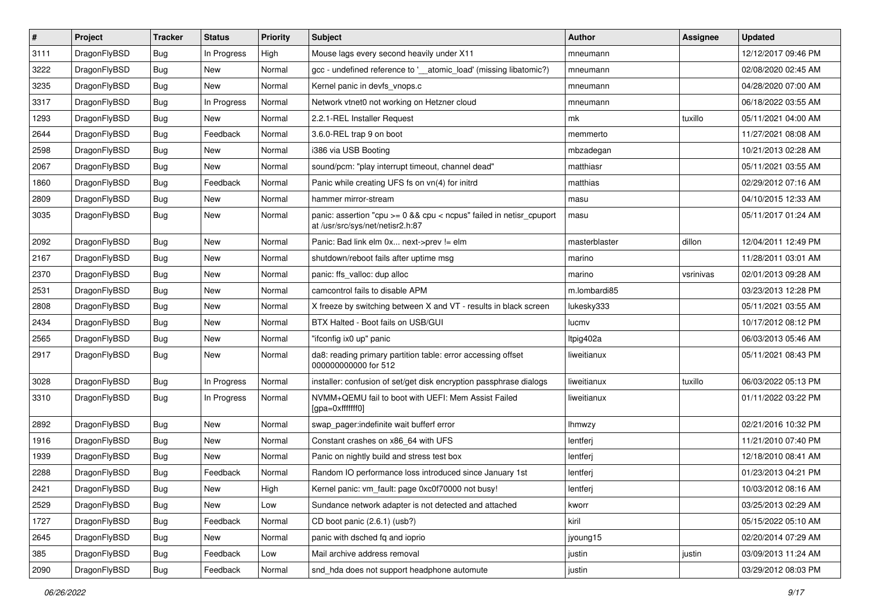| $\sharp$ | Project      | <b>Tracker</b> | <b>Status</b> | <b>Priority</b> | Subject                                                                                                 | <b>Author</b> | Assignee  | <b>Updated</b>      |
|----------|--------------|----------------|---------------|-----------------|---------------------------------------------------------------------------------------------------------|---------------|-----------|---------------------|
| 3111     | DragonFlyBSD | Bug            | In Progress   | High            | Mouse lags every second heavily under X11                                                               | mneumann      |           | 12/12/2017 09:46 PM |
| 3222     | DragonFlyBSD | Bug            | <b>New</b>    | Normal          | gcc - undefined reference to '__atomic_load' (missing libatomic?)                                       | mneumann      |           | 02/08/2020 02:45 AM |
| 3235     | DragonFlyBSD | Bug            | New           | Normal          | Kernel panic in devfs vnops.c                                                                           | mneumann      |           | 04/28/2020 07:00 AM |
| 3317     | DragonFlyBSD | Bug            | In Progress   | Normal          | Network vtnet0 not working on Hetzner cloud                                                             | mneumann      |           | 06/18/2022 03:55 AM |
| 1293     | DragonFlyBSD | Bug            | <b>New</b>    | Normal          | 2.2.1-REL Installer Request                                                                             | mk            | tuxillo   | 05/11/2021 04:00 AM |
| 2644     | DragonFlyBSD | Bug            | Feedback      | Normal          | 3.6.0-REL trap 9 on boot                                                                                | memmerto      |           | 11/27/2021 08:08 AM |
| 2598     | DragonFlyBSD | Bug            | New           | Normal          | i386 via USB Booting                                                                                    | mbzadegan     |           | 10/21/2013 02:28 AM |
| 2067     | DragonFlyBSD | Bug            | New           | Normal          | sound/pcm: "play interrupt timeout, channel dead"                                                       | matthiasr     |           | 05/11/2021 03:55 AM |
| 1860     | DragonFlyBSD | Bug            | Feedback      | Normal          | Panic while creating UFS fs on vn(4) for initrd                                                         | matthias      |           | 02/29/2012 07:16 AM |
| 2809     | DragonFlyBSD | Bug            | New           | Normal          | hammer mirror-stream                                                                                    | masu          |           | 04/10/2015 12:33 AM |
| 3035     | DragonFlyBSD | Bug            | New           | Normal          | panic: assertion "cpu >= 0 && cpu < ncpus" failed in netisr_cpuport<br>at /usr/src/sys/net/netisr2.h:87 | masu          |           | 05/11/2017 01:24 AM |
| 2092     | DragonFlyBSD | Bug            | <b>New</b>    | Normal          | Panic: Bad link elm 0x next->prev != elm                                                                | masterblaster | dillon    | 12/04/2011 12:49 PM |
| 2167     | DragonFlyBSD | <b>Bug</b>     | <b>New</b>    | Normal          | shutdown/reboot fails after uptime msg                                                                  | marino        |           | 11/28/2011 03:01 AM |
| 2370     | DragonFlyBSD | Bug            | New           | Normal          | panic: ffs_valloc: dup alloc                                                                            | marino        | vsrinivas | 02/01/2013 09:28 AM |
| 2531     | DragonFlyBSD | Bug            | <b>New</b>    | Normal          | camcontrol fails to disable APM                                                                         | m.lombardi85  |           | 03/23/2013 12:28 PM |
| 2808     | DragonFlyBSD | <b>Bug</b>     | New           | Normal          | X freeze by switching between X and VT - results in black screen                                        | lukesky333    |           | 05/11/2021 03:55 AM |
| 2434     | DragonFlyBSD | Bug            | New           | Normal          | BTX Halted - Boot fails on USB/GUI                                                                      | lucmv         |           | 10/17/2012 08:12 PM |
| 2565     | DragonFlyBSD | Bug            | New           | Normal          | "ifconfig ix0 up" panic                                                                                 | Itpig402a     |           | 06/03/2013 05:46 AM |
| 2917     | DragonFlyBSD | Bug            | <b>New</b>    | Normal          | da8: reading primary partition table: error accessing offset<br>000000000000 for 512                    | liweitianux   |           | 05/11/2021 08:43 PM |
| 3028     | DragonFlyBSD | Bug            | In Progress   | Normal          | installer: confusion of set/get disk encryption passphrase dialogs                                      | liweitianux   | tuxillo   | 06/03/2022 05:13 PM |
| 3310     | DragonFlyBSD | Bug            | In Progress   | Normal          | NVMM+QEMU fail to boot with UEFI: Mem Assist Failed<br>[gpa=0xfffffff0]                                 | liweitianux   |           | 01/11/2022 03:22 PM |
| 2892     | DragonFlyBSD | Bug            | New           | Normal          | swap_pager:indefinite wait bufferf error                                                                | lhmwzy        |           | 02/21/2016 10:32 PM |
| 1916     | DragonFlyBSD | Bug            | <b>New</b>    | Normal          | Constant crashes on x86_64 with UFS                                                                     | lentferj      |           | 11/21/2010 07:40 PM |
| 1939     | DragonFlyBSD | Bug            | New           | Normal          | Panic on nightly build and stress test box                                                              | lentferj      |           | 12/18/2010 08:41 AM |
| 2288     | DragonFlyBSD | Bug            | Feedback      | Normal          | Random IO performance loss introduced since January 1st                                                 | lentferj      |           | 01/23/2013 04:21 PM |
| 2421     | DragonFlyBSD | Bug            | New           | High            | Kernel panic: vm_fault: page 0xc0f70000 not busy!                                                       | lentferj      |           | 10/03/2012 08:16 AM |
| 2529     | DragonFlyBSD | Bug            | New           | Low             | Sundance network adapter is not detected and attached                                                   | kworr         |           | 03/25/2013 02:29 AM |
| 1727     | DragonFlyBSD | Bug            | Feedback      | Normal          | CD boot panic (2.6.1) (usb?)                                                                            | kiril         |           | 05/15/2022 05:10 AM |
| 2645     | DragonFlyBSD | <b>Bug</b>     | New           | Normal          | panic with dsched fq and ioprio                                                                         | jyoung15      |           | 02/20/2014 07:29 AM |
| 385      | DragonFlyBSD | <b>Bug</b>     | Feedback      | Low             | Mail archive address removal                                                                            | justin        | justin    | 03/09/2013 11:24 AM |
| 2090     | DragonFlyBSD | <b>Bug</b>     | Feedback      | Normal          | snd_hda does not support headphone automute                                                             | justin        |           | 03/29/2012 08:03 PM |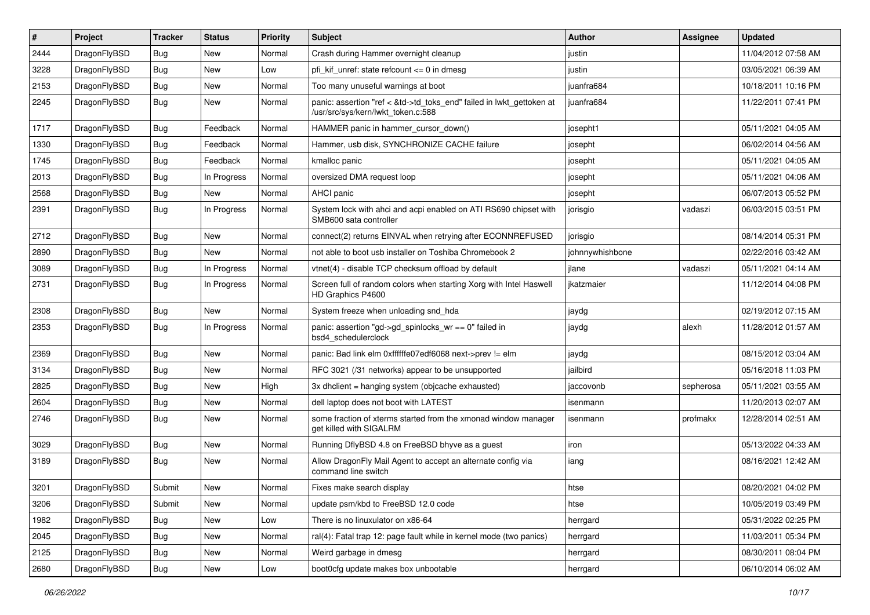| #    | Project      | <b>Tracker</b> | <b>Status</b> | <b>Priority</b> | Subject                                                                                                    | Author          | Assignee  | <b>Updated</b>      |
|------|--------------|----------------|---------------|-----------------|------------------------------------------------------------------------------------------------------------|-----------------|-----------|---------------------|
| 2444 | DragonFlyBSD | Bug            | <b>New</b>    | Normal          | Crash during Hammer overnight cleanup                                                                      | justin          |           | 11/04/2012 07:58 AM |
| 3228 | DragonFlyBSD | Bug            | <b>New</b>    | Low             | pfi_kif_unref: state refcount <= 0 in dmesg                                                                | justin          |           | 03/05/2021 06:39 AM |
| 2153 | DragonFlyBSD | <b>Bug</b>     | New           | Normal          | Too many unuseful warnings at boot                                                                         | juanfra684      |           | 10/18/2011 10:16 PM |
| 2245 | DragonFlyBSD | Bug            | New           | Normal          | panic: assertion "ref < &td->td_toks_end" failed in lwkt_gettoken at<br>/usr/src/sys/kern/lwkt_token.c:588 | juanfra684      |           | 11/22/2011 07:41 PM |
| 1717 | DragonFlyBSD | <b>Bug</b>     | Feedback      | Normal          | HAMMER panic in hammer cursor down()                                                                       | josepht1        |           | 05/11/2021 04:05 AM |
| 1330 | DragonFlyBSD | <b>Bug</b>     | Feedback      | Normal          | Hammer, usb disk, SYNCHRONIZE CACHE failure                                                                | josepht         |           | 06/02/2014 04:56 AM |
| 1745 | DragonFlyBSD | <b>Bug</b>     | Feedback      | Normal          | kmalloc panic                                                                                              | josepht         |           | 05/11/2021 04:05 AM |
| 2013 | DragonFlyBSD | <b>Bug</b>     | In Progress   | Normal          | oversized DMA request loop                                                                                 | josepht         |           | 05/11/2021 04:06 AM |
| 2568 | DragonFlyBSD | Bug            | New           | Normal          | AHCI panic                                                                                                 | josepht         |           | 06/07/2013 05:52 PM |
| 2391 | DragonFlyBSD | Bug            | In Progress   | Normal          | System lock with ahci and acpi enabled on ATI RS690 chipset with<br>SMB600 sata controller                 | jorisgio        | vadaszi   | 06/03/2015 03:51 PM |
| 2712 | DragonFlyBSD | Bug            | New           | Normal          | connect(2) returns EINVAL when retrying after ECONNREFUSED                                                 | jorisgio        |           | 08/14/2014 05:31 PM |
| 2890 | DragonFlyBSD | Bug            | New           | Normal          | not able to boot usb installer on Toshiba Chromebook 2                                                     | johnnywhishbone |           | 02/22/2016 03:42 AM |
| 3089 | DragonFlyBSD | <b>Bug</b>     | In Progress   | Normal          | vtnet(4) - disable TCP checksum offload by default                                                         | jlane           | vadaszi   | 05/11/2021 04:14 AM |
| 2731 | DragonFlyBSD | <b>Bug</b>     | In Progress   | Normal          | Screen full of random colors when starting Xorg with Intel Haswell<br>HD Graphics P4600                    | jkatzmaier      |           | 11/12/2014 04:08 PM |
| 2308 | DragonFlyBSD | Bug            | New           | Normal          | System freeze when unloading snd hda                                                                       | jaydg           |           | 02/19/2012 07:15 AM |
| 2353 | DragonFlyBSD | <b>Bug</b>     | In Progress   | Normal          | panic: assertion "gd->gd spinlocks $wr == 0$ " failed in<br>bsd4 schedulerclock                            | jaydg           | alexh     | 11/28/2012 01:57 AM |
| 2369 | DragonFlyBSD | Bug            | New           | Normal          | panic: Bad link elm 0xffffffe07edf6068 next->prev != elm                                                   | jaydg           |           | 08/15/2012 03:04 AM |
| 3134 | DragonFlyBSD | Bug            | <b>New</b>    | Normal          | RFC 3021 (/31 networks) appear to be unsupported                                                           | jailbird        |           | 05/16/2018 11:03 PM |
| 2825 | DragonFlyBSD | <b>Bug</b>     | <b>New</b>    | High            | 3x dhclient = hanging system (objcache exhausted)                                                          | jaccovonb       | sepherosa | 05/11/2021 03:55 AM |
| 2604 | DragonFlyBSD | <b>Bug</b>     | New           | Normal          | dell laptop does not boot with LATEST                                                                      | isenmann        |           | 11/20/2013 02:07 AM |
| 2746 | DragonFlyBSD | Bug            | New           | Normal          | some fraction of xterms started from the xmonad window manager<br>get killed with SIGALRM                  | isenmann        | profmakx  | 12/28/2014 02:51 AM |
| 3029 | DragonFlyBSD | <b>Bug</b>     | <b>New</b>    | Normal          | Running DflyBSD 4.8 on FreeBSD bhyve as a guest                                                            | iron            |           | 05/13/2022 04:33 AM |
| 3189 | DragonFlyBSD | Bug            | <b>New</b>    | Normal          | Allow DragonFly Mail Agent to accept an alternate config via<br>command line switch                        | iang            |           | 08/16/2021 12:42 AM |
| 3201 | DragonFlyBSD | Submit         | New           | Normal          | Fixes make search display                                                                                  | htse            |           | 08/20/2021 04:02 PM |
| 3206 | DragonFlyBSD | Submit         | New           | Normal          | update psm/kbd to FreeBSD 12.0 code                                                                        | htse            |           | 10/05/2019 03:49 PM |
| 1982 | DragonFlyBSD | <b>Bug</b>     | New           | Low             | There is no linuxulator on x86-64                                                                          | herrgard        |           | 05/31/2022 02:25 PM |
| 2045 | DragonFlyBSD | <b>Bug</b>     | New           | Normal          | ral(4): Fatal trap 12: page fault while in kernel mode (two panics)                                        | herrgard        |           | 11/03/2011 05:34 PM |
| 2125 | DragonFlyBSD | <b>Bug</b>     | New           | Normal          | Weird garbage in dmesg                                                                                     | herrgard        |           | 08/30/2011 08:04 PM |
| 2680 | DragonFlyBSD | Bug            | New           | Low             | boot0cfg update makes box unbootable                                                                       | herrgard        |           | 06/10/2014 06:02 AM |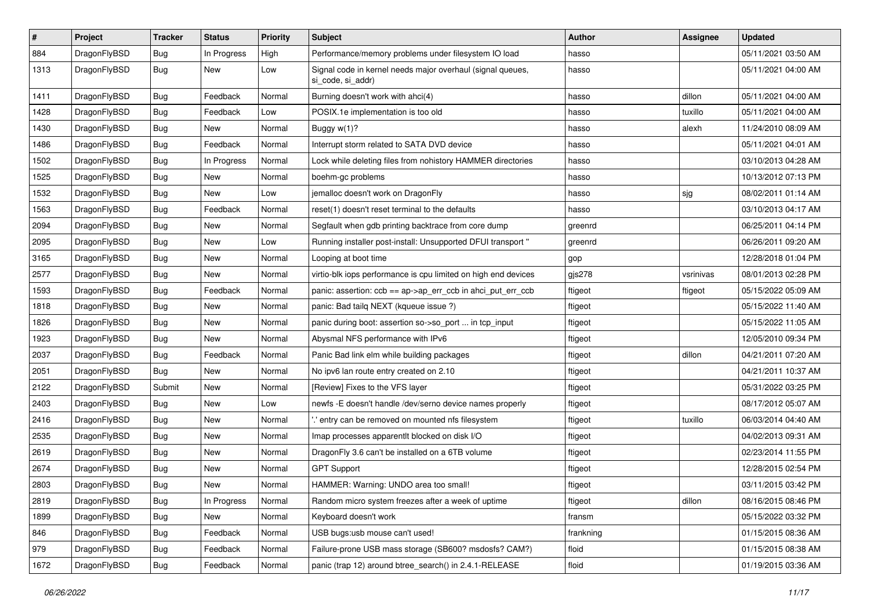| $\vert$ # | Project      | <b>Tracker</b> | <b>Status</b> | <b>Priority</b> | Subject                                                                         | Author    | Assignee  | <b>Updated</b>      |
|-----------|--------------|----------------|---------------|-----------------|---------------------------------------------------------------------------------|-----------|-----------|---------------------|
| 884       | DragonFlyBSD | <b>Bug</b>     | In Progress   | High            | Performance/memory problems under filesystem IO load                            | hasso     |           | 05/11/2021 03:50 AM |
| 1313      | DragonFlyBSD | Bug            | New           | Low             | Signal code in kernel needs major overhaul (signal queues,<br>si code, si addr) | hasso     |           | 05/11/2021 04:00 AM |
| 1411      | DragonFlyBSD | Bug            | Feedback      | Normal          | Burning doesn't work with ahci(4)                                               | hasso     | dillon    | 05/11/2021 04:00 AM |
| 1428      | DragonFlyBSD | <b>Bug</b>     | Feedback      | Low             | POSIX.1e implementation is too old                                              | hasso     | tuxillo   | 05/11/2021 04:00 AM |
| 1430      | DragonFlyBSD | <b>Bug</b>     | New           | Normal          | Buggy w(1)?                                                                     | hasso     | alexh     | 11/24/2010 08:09 AM |
| 1486      | DragonFlyBSD | <b>Bug</b>     | Feedback      | Normal          | Interrupt storm related to SATA DVD device                                      | hasso     |           | 05/11/2021 04:01 AM |
| 1502      | DragonFlyBSD | <b>Bug</b>     | In Progress   | Normal          | Lock while deleting files from nohistory HAMMER directories                     | hasso     |           | 03/10/2013 04:28 AM |
| 1525      | DragonFlyBSD | Bug            | <b>New</b>    | Normal          | boehm-gc problems                                                               | hasso     |           | 10/13/2012 07:13 PM |
| 1532      | DragonFlyBSD | Bug            | New           | Low             | jemalloc doesn't work on DragonFly                                              | hasso     | sjg       | 08/02/2011 01:14 AM |
| 1563      | DragonFlyBSD | <b>Bug</b>     | Feedback      | Normal          | reset(1) doesn't reset terminal to the defaults                                 | hasso     |           | 03/10/2013 04:17 AM |
| 2094      | DragonFlyBSD | <b>Bug</b>     | <b>New</b>    | Normal          | Segfault when gdb printing backtrace from core dump                             | greenrd   |           | 06/25/2011 04:14 PM |
| 2095      | DragonFlyBSD | <b>Bug</b>     | New           | Low             | Running installer post-install: Unsupported DFUI transport "                    | greenrd   |           | 06/26/2011 09:20 AM |
| 3165      | DragonFlyBSD | Bug            | New           | Normal          | Looping at boot time                                                            | gop       |           | 12/28/2018 01:04 PM |
| 2577      | DragonFlyBSD | <b>Bug</b>     | New           | Normal          | virtio-blk iops performance is cpu limited on high end devices                  | gjs278    | vsrinivas | 08/01/2013 02:28 PM |
| 1593      | DragonFlyBSD | <b>Bug</b>     | Feedback      | Normal          | panic: assertion: ccb == ap->ap_err_ccb in ahci_put_err_ccb                     | ftigeot   | ftigeot   | 05/15/2022 05:09 AM |
| 1818      | DragonFlyBSD | Bug            | New           | Normal          | panic: Bad tailg NEXT (kqueue issue ?)                                          | ftigeot   |           | 05/15/2022 11:40 AM |
| 1826      | DragonFlyBSD | Bug            | <b>New</b>    | Normal          | panic during boot: assertion so->so_port  in tcp_input                          | ftigeot   |           | 05/15/2022 11:05 AM |
| 1923      | DragonFlyBSD | <b>Bug</b>     | New           | Normal          | Abysmal NFS performance with IPv6                                               | ftigeot   |           | 12/05/2010 09:34 PM |
| 2037      | DragonFlyBSD | <b>Bug</b>     | Feedback      | Normal          | Panic Bad link elm while building packages                                      | ftigeot   | dillon    | 04/21/2011 07:20 AM |
| 2051      | DragonFlyBSD | <b>Bug</b>     | <b>New</b>    | Normal          | No ipv6 lan route entry created on 2.10                                         | ftigeot   |           | 04/21/2011 10:37 AM |
| 2122      | DragonFlyBSD | Submit         | <b>New</b>    | Normal          | [Review] Fixes to the VFS layer                                                 | ftigeot   |           | 05/31/2022 03:25 PM |
| 2403      | DragonFlyBSD | Bug            | <b>New</b>    | Low             | newfs -E doesn't handle /dev/serno device names properly                        | ftigeot   |           | 08/17/2012 05:07 AM |
| 2416      | DragonFlyBSD | Bug            | New           | Normal          | .' entry can be removed on mounted nfs filesystem                               | ftigeot   | tuxillo   | 06/03/2014 04:40 AM |
| 2535      | DragonFlyBSD | Bug            | <b>New</b>    | Normal          | Imap processes apparentlt blocked on disk I/O                                   | ftigeot   |           | 04/02/2013 09:31 AM |
| 2619      | DragonFlyBSD | Bug            | <b>New</b>    | Normal          | DragonFly 3.6 can't be installed on a 6TB volume                                | ftigeot   |           | 02/23/2014 11:55 PM |
| 2674      | DragonFlyBSD | Bug            | New           | Normal          | <b>GPT Support</b>                                                              | ftigeot   |           | 12/28/2015 02:54 PM |
| 2803      | DragonFlyBSD | <b>Bug</b>     | <b>New</b>    | Normal          | HAMMER: Warning: UNDO area too small!                                           | ftigeot   |           | 03/11/2015 03:42 PM |
| 2819      | DragonFlyBSD | Bug            | In Progress   | Normal          | Random micro system freezes after a week of uptime                              | ftigeot   | dillon    | 08/16/2015 08:46 PM |
| 1899      | DragonFlyBSD | <b>Bug</b>     | New           | Normal          | Keyboard doesn't work                                                           | fransm    |           | 05/15/2022 03:32 PM |
| 846       | DragonFlyBSD | <b>Bug</b>     | Feedback      | Normal          | USB bugs:usb mouse can't used!                                                  | frankning |           | 01/15/2015 08:36 AM |
| 979       | DragonFlyBSD | <b>Bug</b>     | Feedback      | Normal          | Failure-prone USB mass storage (SB600? msdosfs? CAM?)                           | floid     |           | 01/15/2015 08:38 AM |
| 1672      | DragonFlyBSD | <b>Bug</b>     | Feedback      | Normal          | panic (trap 12) around btree_search() in 2.4.1-RELEASE                          | floid     |           | 01/19/2015 03:36 AM |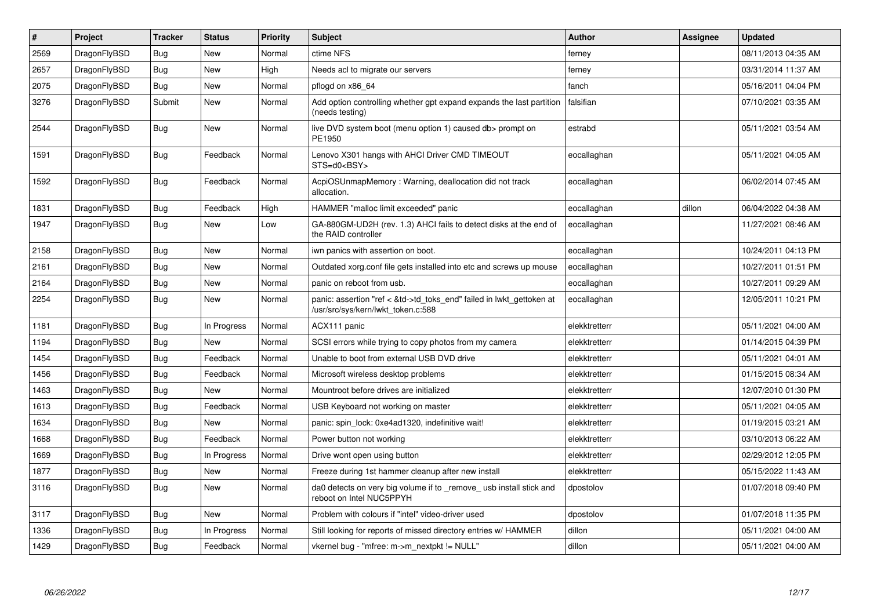| $\sharp$ | Project      | <b>Tracker</b> | <b>Status</b> | <b>Priority</b> | <b>Subject</b>                                                                                             | <b>Author</b> | Assignee | <b>Updated</b>      |
|----------|--------------|----------------|---------------|-----------------|------------------------------------------------------------------------------------------------------------|---------------|----------|---------------------|
| 2569     | DragonFlyBSD | Bug            | <b>New</b>    | Normal          | ctime NFS                                                                                                  | ferney        |          | 08/11/2013 04:35 AM |
| 2657     | DragonFlyBSD | Bug            | <b>New</b>    | High            | Needs acl to migrate our servers                                                                           | ferney        |          | 03/31/2014 11:37 AM |
| 2075     | DragonFlyBSD | Bug            | New           | Normal          | pflogd on x86 64                                                                                           | fanch         |          | 05/16/2011 04:04 PM |
| 3276     | DragonFlyBSD | Submit         | New           | Normal          | Add option controlling whether gpt expand expands the last partition<br>(needs testing)                    | falsifian     |          | 07/10/2021 03:35 AM |
| 2544     | DragonFlyBSD | Bug            | <b>New</b>    | Normal          | live DVD system boot (menu option 1) caused db> prompt on<br>PE1950                                        | estrabd       |          | 05/11/2021 03:54 AM |
| 1591     | DragonFlyBSD | <b>Bug</b>     | Feedback      | Normal          | Lenovo X301 hangs with AHCI Driver CMD TIMEOUT<br>STS=d0 <bsy></bsy>                                       | eocallaghan   |          | 05/11/2021 04:05 AM |
| 1592     | DragonFlyBSD | Bug            | Feedback      | Normal          | AcpiOSUnmapMemory: Warning, deallocation did not track<br>allocation.                                      | eocallaghan   |          | 06/02/2014 07:45 AM |
| 1831     | DragonFlyBSD | Bug            | Feedback      | High            | HAMMER "malloc limit exceeded" panic                                                                       | eocallaghan   | dillon   | 06/04/2022 04:38 AM |
| 1947     | DragonFlyBSD | Bug            | <b>New</b>    | Low             | GA-880GM-UD2H (rev. 1.3) AHCI fails to detect disks at the end of<br>the RAID controller                   | eocallaghan   |          | 11/27/2021 08:46 AM |
| 2158     | DragonFlyBSD | <b>Bug</b>     | <b>New</b>    | Normal          | iwn panics with assertion on boot.                                                                         | eocallaghan   |          | 10/24/2011 04:13 PM |
| 2161     | DragonFlyBSD | Bug            | New           | Normal          | Outdated xorg.conf file gets installed into etc and screws up mouse                                        | eocallaghan   |          | 10/27/2011 01:51 PM |
| 2164     | DragonFlyBSD | Bug            | New           | Normal          | panic on reboot from usb.                                                                                  | eocallaghan   |          | 10/27/2011 09:29 AM |
| 2254     | DragonFlyBSD | <b>Bug</b>     | New           | Normal          | panic: assertion "ref < &td->td_toks_end" failed in lwkt_gettoken at<br>/usr/src/sys/kern/lwkt_token.c:588 | eocallaghan   |          | 12/05/2011 10:21 PM |
| 1181     | DragonFlyBSD | Bug            | In Progress   | Normal          | ACX111 panic                                                                                               | elekktretterr |          | 05/11/2021 04:00 AM |
| 1194     | DragonFlyBSD | Bug            | New           | Normal          | SCSI errors while trying to copy photos from my camera                                                     | elekktretterr |          | 01/14/2015 04:39 PM |
| 1454     | DragonFlyBSD | Bug            | Feedback      | Normal          | Unable to boot from external USB DVD drive                                                                 | elekktretterr |          | 05/11/2021 04:01 AM |
| 1456     | DragonFlyBSD | <b>Bug</b>     | Feedback      | Normal          | Microsoft wireless desktop problems                                                                        | elekktretterr |          | 01/15/2015 08:34 AM |
| 1463     | DragonFlyBSD | <b>Bug</b>     | <b>New</b>    | Normal          | Mountroot before drives are initialized                                                                    | elekktretterr |          | 12/07/2010 01:30 PM |
| 1613     | DragonFlyBSD | <b>Bug</b>     | Feedback      | Normal          | USB Keyboard not working on master                                                                         | elekktretterr |          | 05/11/2021 04:05 AM |
| 1634     | DragonFlyBSD | <b>Bug</b>     | <b>New</b>    | Normal          | panic: spin lock: 0xe4ad1320, indefinitive wait!                                                           | elekktretterr |          | 01/19/2015 03:21 AM |
| 1668     | DragonFlyBSD | Bug            | Feedback      | Normal          | Power button not working                                                                                   | elekktretterr |          | 03/10/2013 06:22 AM |
| 1669     | DragonFlyBSD | <b>Bug</b>     | In Progress   | Normal          | Drive wont open using button                                                                               | elekktretterr |          | 02/29/2012 12:05 PM |
| 1877     | DragonFlyBSD | Bug            | New           | Normal          | Freeze during 1st hammer cleanup after new install                                                         | elekktretterr |          | 05/15/2022 11:43 AM |
| 3116     | DragonFlyBSD | Bug            | New           | Normal          | da0 detects on very big volume if to remove usb install stick and<br>reboot on Intel NUC5PPYH              | dpostolov     |          | 01/07/2018 09:40 PM |
| 3117     | DragonFlyBSD | Bug            | <b>New</b>    | Normal          | Problem with colours if "intel" video-driver used                                                          | dpostolov     |          | 01/07/2018 11:35 PM |
| 1336     | DragonFlyBSD | Bug            | In Progress   | Normal          | Still looking for reports of missed directory entries w/ HAMMER                                            | dillon        |          | 05/11/2021 04:00 AM |
| 1429     | DragonFlyBSD | <b>Bug</b>     | Feedback      | Normal          | vkernel bug - "mfree: m->m_nextpkt != NULL"                                                                | dillon        |          | 05/11/2021 04:00 AM |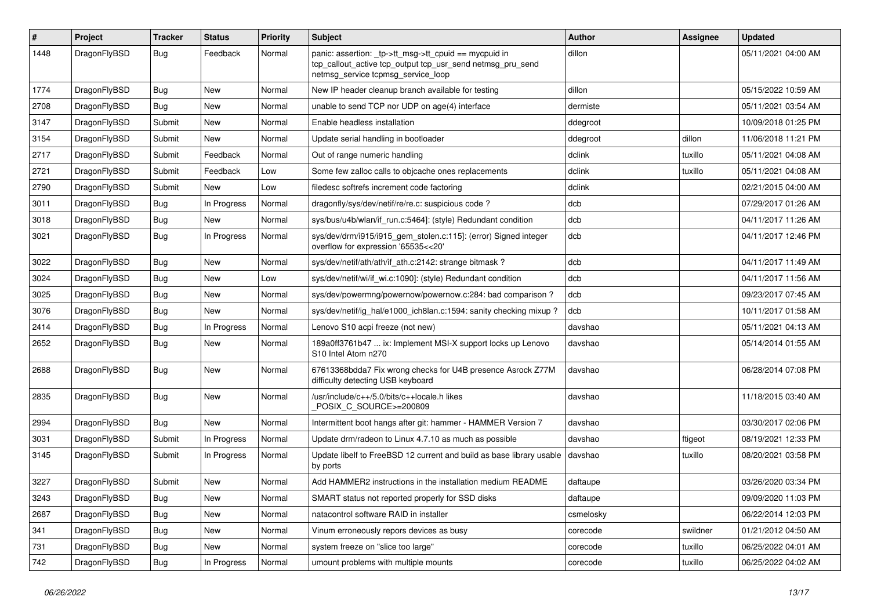| #    | Project      | Tracker    | <b>Status</b> | <b>Priority</b> | Subject                                                                                                                                                   | Author    | Assignee | <b>Updated</b>      |
|------|--------------|------------|---------------|-----------------|-----------------------------------------------------------------------------------------------------------------------------------------------------------|-----------|----------|---------------------|
| 1448 | DragonFlyBSD | Bug        | Feedback      | Normal          | panic: assertion: _tp->tt_msg->tt_cpuid == mycpuid in<br>tcp_callout_active tcp_output tcp_usr_send netmsg_pru_send<br>netmsg service tcpmsg service loop | dillon    |          | 05/11/2021 04:00 AM |
| 1774 | DragonFlyBSD | <b>Bug</b> | New           | Normal          | New IP header cleanup branch available for testing                                                                                                        | dillon    |          | 05/15/2022 10:59 AM |
| 2708 | DragonFlyBSD | Bug        | <b>New</b>    | Normal          | unable to send TCP nor UDP on age(4) interface                                                                                                            | dermiste  |          | 05/11/2021 03:54 AM |
| 3147 | DragonFlyBSD | Submit     | New           | Normal          | Enable headless installation                                                                                                                              | ddegroot  |          | 10/09/2018 01:25 PM |
| 3154 | DragonFlyBSD | Submit     | <b>New</b>    | Normal          | Update serial handling in bootloader                                                                                                                      | ddegroot  | dillon   | 11/06/2018 11:21 PM |
| 2717 | DragonFlyBSD | Submit     | Feedback      | Normal          | Out of range numeric handling                                                                                                                             | dclink    | tuxillo  | 05/11/2021 04:08 AM |
| 2721 | DragonFlyBSD | Submit     | Feedback      | Low             | Some few zalloc calls to objcache ones replacements                                                                                                       | dclink    | tuxillo  | 05/11/2021 04:08 AM |
| 2790 | DragonFlyBSD | Submit     | New           | Low             | filedesc softrefs increment code factoring                                                                                                                | dclink    |          | 02/21/2015 04:00 AM |
| 3011 | DragonFlyBSD | Bug        | In Progress   | Normal          | dragonfly/sys/dev/netif/re/re.c: suspicious code?                                                                                                         | dcb       |          | 07/29/2017 01:26 AM |
| 3018 | DragonFlyBSD | Bug        | <b>New</b>    | Normal          | sys/bus/u4b/wlan/if_run.c:5464]: (style) Redundant condition                                                                                              | dcb       |          | 04/11/2017 11:26 AM |
| 3021 | DragonFlyBSD | <b>Bug</b> | In Progress   | Normal          | sys/dev/drm/i915/i915_gem_stolen.c:115]: (error) Signed integer<br>overflow for expression '65535<<20'                                                    | dcb       |          | 04/11/2017 12:46 PM |
| 3022 | DragonFlyBSD | Bug        | <b>New</b>    | Normal          | sys/dev/netif/ath/ath/if_ath.c:2142: strange bitmask?                                                                                                     | dcb       |          | 04/11/2017 11:49 AM |
| 3024 | DragonFlyBSD | Bug        | New           | Low             | sys/dev/netif/wi/if_wi.c:1090]: (style) Redundant condition                                                                                               | dcb       |          | 04/11/2017 11:56 AM |
| 3025 | DragonFlyBSD | <b>Bug</b> | New           | Normal          | sys/dev/powermng/powernow/powernow.c:284: bad comparison?                                                                                                 | dcb       |          | 09/23/2017 07:45 AM |
| 3076 | DragonFlyBSD | <b>Bug</b> | New           | Normal          | sys/dev/netif/ig_hal/e1000_ich8lan.c:1594: sanity checking mixup ?                                                                                        | dcb       |          | 10/11/2017 01:58 AM |
| 2414 | DragonFlyBSD | <b>Bug</b> | In Progress   | Normal          | Lenovo S10 acpi freeze (not new)                                                                                                                          | davshao   |          | 05/11/2021 04:13 AM |
| 2652 | DragonFlyBSD | Bug        | <b>New</b>    | Normal          | 189a0ff3761b47  ix: Implement MSI-X support locks up Lenovo<br>S10 Intel Atom n270                                                                        | davshao   |          | 05/14/2014 01:55 AM |
| 2688 | DragonFlyBSD | <b>Bug</b> | New           | Normal          | 67613368bdda7 Fix wrong checks for U4B presence Asrock Z77M<br>difficulty detecting USB keyboard                                                          | davshao   |          | 06/28/2014 07:08 PM |
| 2835 | DragonFlyBSD | Bug        | <b>New</b>    | Normal          | /usr/include/c++/5.0/bits/c++locale.h likes<br>POSIX_C_SOURCE>=200809                                                                                     | davshao   |          | 11/18/2015 03:40 AM |
| 2994 | DragonFlyBSD | <b>Bug</b> | <b>New</b>    | Normal          | Intermittent boot hangs after git: hammer - HAMMER Version 7                                                                                              | davshao   |          | 03/30/2017 02:06 PM |
| 3031 | DragonFlyBSD | Submit     | In Progress   | Normal          | Update drm/radeon to Linux 4.7.10 as much as possible                                                                                                     | davshao   | ftigeot  | 08/19/2021 12:33 PM |
| 3145 | DragonFlyBSD | Submit     | In Progress   | Normal          | Update libelf to FreeBSD 12 current and build as base library usable<br>by ports                                                                          | davshao   | tuxillo  | 08/20/2021 03:58 PM |
| 3227 | DragonFlyBSD | Submit     | New           | Normal          | Add HAMMER2 instructions in the installation medium README                                                                                                | daftaupe  |          | 03/26/2020 03:34 PM |
| 3243 | DragonFlyBSD | Bug        | New           | Normal          | SMART status not reported properly for SSD disks                                                                                                          | daftaupe  |          | 09/09/2020 11:03 PM |
| 2687 | DragonFlyBSD | Bug        | New           | Normal          | natacontrol software RAID in installer                                                                                                                    | csmelosky |          | 06/22/2014 12:03 PM |
| 341  | DragonFlyBSD | <b>Bug</b> | New           | Normal          | Vinum erroneously repors devices as busy                                                                                                                  | corecode  | swildner | 01/21/2012 04:50 AM |
| 731  | DragonFlyBSD | <b>Bug</b> | New           | Normal          | system freeze on "slice too large"                                                                                                                        | corecode  | tuxillo  | 06/25/2022 04:01 AM |
| 742  | DragonFlyBSD | Bug        | In Progress   | Normal          | umount problems with multiple mounts                                                                                                                      | corecode  | tuxillo  | 06/25/2022 04:02 AM |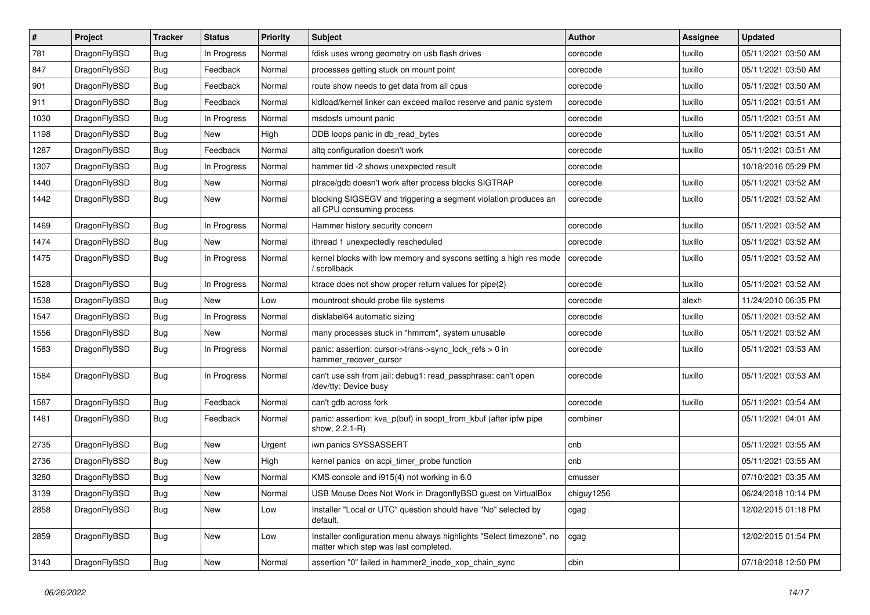| $\#$ | Project      | <b>Tracker</b> | <b>Status</b> | <b>Priority</b> | <b>Subject</b>                                                                                                | <b>Author</b> | <b>Assignee</b> | <b>Updated</b>      |
|------|--------------|----------------|---------------|-----------------|---------------------------------------------------------------------------------------------------------------|---------------|-----------------|---------------------|
| 781  | DragonFlyBSD | <b>Bug</b>     | In Progress   | Normal          | fdisk uses wrong geometry on usb flash drives                                                                 | corecode      | tuxillo         | 05/11/2021 03:50 AM |
| 847  | DragonFlyBSD | Bug            | Feedback      | Normal          | processes getting stuck on mount point                                                                        | corecode      | tuxillo         | 05/11/2021 03:50 AM |
| 901  | DragonFlyBSD | Bug            | Feedback      | Normal          | route show needs to get data from all cpus                                                                    | corecode      | tuxillo         | 05/11/2021 03:50 AM |
| 911  | DragonFlyBSD | Bug            | Feedback      | Normal          | kldload/kernel linker can exceed malloc reserve and panic system                                              | corecode      | tuxillo         | 05/11/2021 03:51 AM |
| 1030 | DragonFlyBSD | <b>Bug</b>     | In Progress   | Normal          | msdosfs umount panic                                                                                          | corecode      | tuxillo         | 05/11/2021 03:51 AM |
| 1198 | DragonFlyBSD | <b>Bug</b>     | New           | High            | DDB loops panic in db_read_bytes                                                                              | corecode      | tuxillo         | 05/11/2021 03:51 AM |
| 1287 | DragonFlyBSD | <b>Bug</b>     | Feedback      | Normal          | altg configuration doesn't work                                                                               | corecode      | tuxillo         | 05/11/2021 03:51 AM |
| 1307 | DragonFlyBSD | Bug            | In Progress   | Normal          | hammer tid -2 shows unexpected result                                                                         | corecode      |                 | 10/18/2016 05:29 PM |
| 1440 | DragonFlyBSD | Bug            | New           | Normal          | ptrace/gdb doesn't work after process blocks SIGTRAP                                                          | corecode      | tuxillo         | 05/11/2021 03:52 AM |
| 1442 | DragonFlyBSD | Bug            | New           | Normal          | blocking SIGSEGV and triggering a segment violation produces an<br>all CPU consuming process                  | corecode      | tuxillo         | 05/11/2021 03:52 AM |
| 1469 | DragonFlyBSD | <b>Bug</b>     | In Progress   | Normal          | Hammer history security concern                                                                               | corecode      | tuxillo         | 05/11/2021 03:52 AM |
| 1474 | DragonFlyBSD | <b>Bug</b>     | New           | Normal          | ithread 1 unexpectedly rescheduled                                                                            | corecode      | tuxillo         | 05/11/2021 03:52 AM |
| 1475 | DragonFlyBSD | <b>Bug</b>     | In Progress   | Normal          | kernel blocks with low memory and syscons setting a high res mode<br>/ scrollback                             | corecode      | tuxillo         | 05/11/2021 03:52 AM |
| 1528 | DragonFlyBSD | <b>Bug</b>     | In Progress   | Normal          | ktrace does not show proper return values for pipe(2)                                                         | corecode      | tuxillo         | 05/11/2021 03:52 AM |
| 1538 | DragonFlyBSD | <b>Bug</b>     | New           | Low             | mountroot should probe file systems                                                                           | corecode      | alexh           | 11/24/2010 06:35 PM |
| 1547 | DragonFlyBSD | <b>Bug</b>     | In Progress   | Normal          | disklabel64 automatic sizing                                                                                  | corecode      | tuxillo         | 05/11/2021 03:52 AM |
| 1556 | DragonFlyBSD | <b>Bug</b>     | New           | Normal          | many processes stuck in "hmrrcm", system unusable                                                             | corecode      | tuxillo         | 05/11/2021 03:52 AM |
| 1583 | DragonFlyBSD | <b>Bug</b>     | In Progress   | Normal          | panic: assertion: cursor->trans->sync_lock_refs > 0 in<br>hammer recover cursor                               | corecode      | tuxillo         | 05/11/2021 03:53 AM |
| 1584 | DragonFlyBSD | Bug            | In Progress   | Normal          | can't use ssh from jail: debug1: read_passphrase: can't open<br>/dev/tty: Device busy                         | corecode      | tuxillo         | 05/11/2021 03:53 AM |
| 1587 | DragonFlyBSD | Bug            | Feedback      | Normal          | can't gdb across fork                                                                                         | corecode      | tuxillo         | 05/11/2021 03:54 AM |
| 1481 | DragonFlyBSD | <b>Bug</b>     | Feedback      | Normal          | panic: assertion: kva_p(buf) in soopt_from_kbuf (after ipfw pipe<br>show, 2.2.1-R)                            | combiner      |                 | 05/11/2021 04:01 AM |
| 2735 | DragonFlyBSD | <b>Bug</b>     | New           | Urgent          | iwn panics SYSSASSERT                                                                                         | cnb           |                 | 05/11/2021 03:55 AM |
| 2736 | DragonFlyBSD | <b>Bug</b>     | New           | High            | kernel panics on acpi_timer_probe function                                                                    | cnb           |                 | 05/11/2021 03:55 AM |
| 3280 | DragonFlyBSD | <b>Bug</b>     | New           | Normal          | KMS console and i915(4) not working in 6.0                                                                    | cmusser       |                 | 07/10/2021 03:35 AM |
| 3139 | DragonFlyBSD | <b>Bug</b>     | I New         | Normal          | USB Mouse Does Not Work in DragonflyBSD guest on VirtualBox                                                   | chiguy1256    |                 | 06/24/2018 10:14 PM |
| 2858 | DragonFlyBSD | Bug            | New           | Low             | Installer "Local or UTC" question should have "No" selected by<br>default.                                    | cgag          |                 | 12/02/2015 01:18 PM |
| 2859 | DragonFlyBSD | Bug            | New           | Low             | Installer configuration menu always highlights "Select timezone", no<br>matter which step was last completed. | cgag          |                 | 12/02/2015 01:54 PM |
| 3143 | DragonFlyBSD | <b>Bug</b>     | New           | Normal          | assertion "0" failed in hammer2 inode xop chain sync                                                          | cbin          |                 | 07/18/2018 12:50 PM |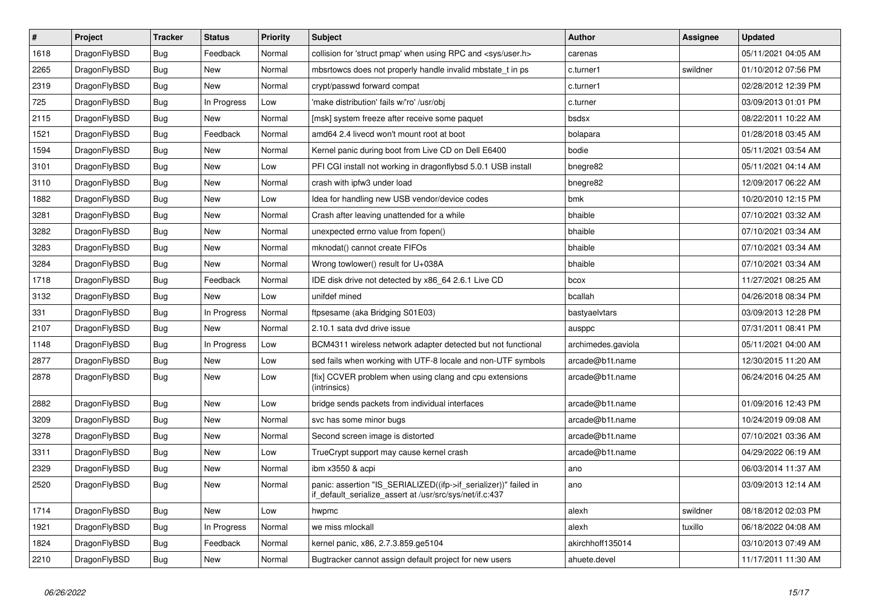| $\vert$ # | <b>Project</b> | <b>Tracker</b> | <b>Status</b> | Priority | <b>Subject</b>                                                                                                               | Author             | Assignee | <b>Updated</b>      |
|-----------|----------------|----------------|---------------|----------|------------------------------------------------------------------------------------------------------------------------------|--------------------|----------|---------------------|
| 1618      | DragonFlyBSD   | Bug            | Feedback      | Normal   | collision for 'struct pmap' when using RPC and <sys user.h=""></sys>                                                         | carenas            |          | 05/11/2021 04:05 AM |
| 2265      | DragonFlyBSD   | Bug            | New           | Normal   | mbsrtowcs does not properly handle invalid mbstate t in ps.                                                                  | c.turner1          | swildner | 01/10/2012 07:56 PM |
| 2319      | DragonFlyBSD   | Bug            | New           | Normal   | crypt/passwd forward compat                                                                                                  | c.turner1          |          | 02/28/2012 12:39 PM |
| 725       | DragonFlyBSD   | <b>Bug</b>     | In Progress   | Low      | 'make distribution' fails w/'ro' /usr/obj                                                                                    | c.turner           |          | 03/09/2013 01:01 PM |
| 2115      | DragonFlyBSD   | <b>Bug</b>     | New           | Normal   | [msk] system freeze after receive some paquet                                                                                | bsdsx              |          | 08/22/2011 10:22 AM |
| 1521      | DragonFlyBSD   | <b>Bug</b>     | Feedback      | Normal   | amd64 2.4 livecd won't mount root at boot                                                                                    | bolapara           |          | 01/28/2018 03:45 AM |
| 1594      | DragonFlyBSD   | <b>Bug</b>     | New           | Normal   | Kernel panic during boot from Live CD on Dell E6400                                                                          | bodie              |          | 05/11/2021 03:54 AM |
| 3101      | DragonFlyBSD   | Bug            | New           | Low      | PFI CGI install not working in dragonflybsd 5.0.1 USB install                                                                | bnegre82           |          | 05/11/2021 04:14 AM |
| 3110      | DragonFlyBSD   | <b>Bug</b>     | <b>New</b>    | Normal   | crash with ipfw3 under load                                                                                                  | bnegre82           |          | 12/09/2017 06:22 AM |
| 1882      | DragonFlyBSD   | Bug            | New           | Low      | Idea for handling new USB vendor/device codes                                                                                | bmk                |          | 10/20/2010 12:15 PM |
| 3281      | DragonFlyBSD   | Bug            | New           | Normal   | Crash after leaving unattended for a while                                                                                   | bhaible            |          | 07/10/2021 03:32 AM |
| 3282      | DragonFlyBSD   | Bug            | New           | Normal   | unexpected errno value from fopen()                                                                                          | bhaible            |          | 07/10/2021 03:34 AM |
| 3283      | DragonFlyBSD   | <b>Bug</b>     | New           | Normal   | mknodat() cannot create FIFOs                                                                                                | bhaible            |          | 07/10/2021 03:34 AM |
| 3284      | DragonFlyBSD   | <b>Bug</b>     | New           | Normal   | Wrong towlower() result for U+038A                                                                                           | bhaible            |          | 07/10/2021 03:34 AM |
| 1718      | DragonFlyBSD   | <b>Bug</b>     | Feedback      | Normal   | IDE disk drive not detected by x86 64 2.6.1 Live CD                                                                          | bcox               |          | 11/27/2021 08:25 AM |
| 3132      | DragonFlyBSD   | <b>Bug</b>     | <b>New</b>    | Low      | unifdef mined                                                                                                                | bcallah            |          | 04/26/2018 08:34 PM |
| 331       | DragonFlyBSD   | <b>Bug</b>     | In Progress   | Normal   | ftpsesame (aka Bridging S01E03)                                                                                              | bastyaelvtars      |          | 03/09/2013 12:28 PM |
| 2107      | DragonFlyBSD   | <b>Bug</b>     | <b>New</b>    | Normal   | 2.10.1 sata dvd drive issue                                                                                                  | ausppc             |          | 07/31/2011 08:41 PM |
| 1148      | DragonFlyBSD   | <b>Bug</b>     | In Progress   | Low      | BCM4311 wireless network adapter detected but not functional                                                                 | archimedes.gaviola |          | 05/11/2021 04:00 AM |
| 2877      | DragonFlyBSD   | Bug            | New           | Low      | sed fails when working with UTF-8 locale and non-UTF symbols                                                                 | arcade@b1t.name    |          | 12/30/2015 11:20 AM |
| 2878      | DragonFlyBSD   | <b>Bug</b>     | New           | Low      | [fix] CCVER problem when using clang and cpu extensions<br>(intrinsics)                                                      | arcade@b1t.name    |          | 06/24/2016 04:25 AM |
| 2882      | DragonFlyBSD   | Bug            | New           | Low      | bridge sends packets from individual interfaces                                                                              | arcade@b1t.name    |          | 01/09/2016 12:43 PM |
| 3209      | DragonFlyBSD   | <b>Bug</b>     | New           | Normal   | svc has some minor bugs                                                                                                      | arcade@b1t.name    |          | 10/24/2019 09:08 AM |
| 3278      | DragonFlyBSD   | <b>Bug</b>     | <b>New</b>    | Normal   | Second screen image is distorted                                                                                             | arcade@b1t.name    |          | 07/10/2021 03:36 AM |
| 3311      | DragonFlyBSD   | <b>Bug</b>     | <b>New</b>    | Low      | TrueCrypt support may cause kernel crash                                                                                     | arcade@b1t.name    |          | 04/29/2022 06:19 AM |
| 2329      | DragonFlyBSD   | Bug            | <b>New</b>    | Normal   | ibm x3550 & acpi                                                                                                             | ano                |          | 06/03/2014 11:37 AM |
| 2520      | DragonFlyBSD   | Bug            | New           | Normal   | panic: assertion "IS SERIALIZED((ifp->if serializer))" failed in<br>if default serialize assert at /usr/src/sys/net/if.c:437 | ano                |          | 03/09/2013 12:14 AM |
| 1714      | DragonFlyBSD   | Bug            | New           | Low      | hwpmc                                                                                                                        | alexh              | swildner | 08/18/2012 02:03 PM |
| 1921      | DragonFlyBSD   | <b>Bug</b>     | In Progress   | Normal   | we miss mlockall                                                                                                             | alexh              | tuxillo  | 06/18/2022 04:08 AM |
| 1824      | DragonFlyBSD   | <b>Bug</b>     | Feedback      | Normal   | kernel panic, x86, 2.7.3.859.ge5104                                                                                          | akirchhoff135014   |          | 03/10/2013 07:49 AM |
| 2210      | DragonFlyBSD   | <b>Bug</b>     | New           | Normal   | Bugtracker cannot assign default project for new users                                                                       | ahuete.devel       |          | 11/17/2011 11:30 AM |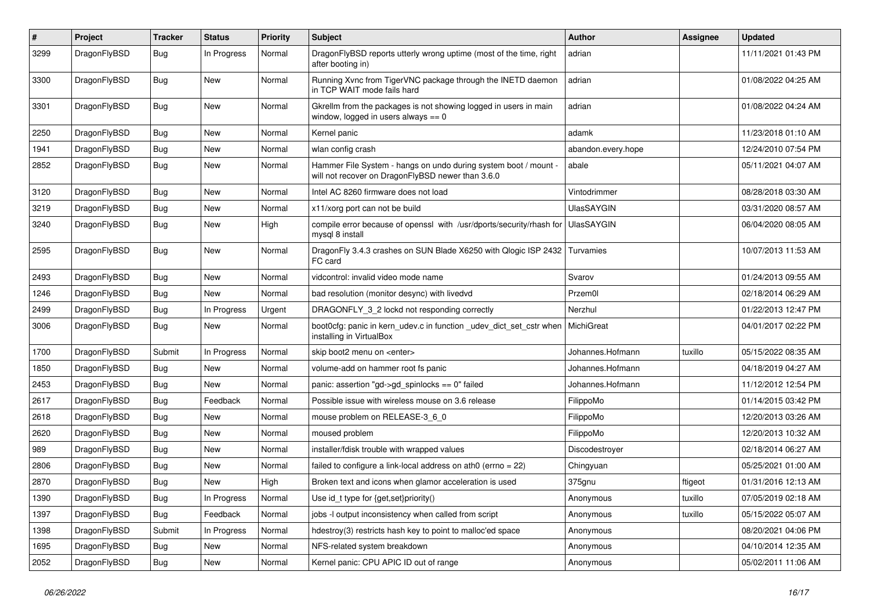| $\#$ | Project      | <b>Tracker</b> | <b>Status</b> | <b>Priority</b> | Subject                                                                                                              | <b>Author</b>      | Assignee | <b>Updated</b>      |
|------|--------------|----------------|---------------|-----------------|----------------------------------------------------------------------------------------------------------------------|--------------------|----------|---------------------|
| 3299 | DragonFlyBSD | Bug            | In Progress   | Normal          | DragonFlyBSD reports utterly wrong uptime (most of the time, right<br>after booting in)                              | adrian             |          | 11/11/2021 01:43 PM |
| 3300 | DragonFlyBSD | Bug            | <b>New</b>    | Normal          | Running Xvnc from TigerVNC package through the INETD daemon<br>in TCP WAIT mode fails hard                           | adrian             |          | 01/08/2022 04:25 AM |
| 3301 | DragonFlyBSD | <b>Bug</b>     | New           | Normal          | Gkrellm from the packages is not showing logged in users in main<br>window, logged in users always $== 0$            | adrian             |          | 01/08/2022 04:24 AM |
| 2250 | DragonFlyBSD | Bug            | <b>New</b>    | Normal          | Kernel panic                                                                                                         | adamk              |          | 11/23/2018 01:10 AM |
| 1941 | DragonFlyBSD | <b>Bug</b>     | <b>New</b>    | Normal          | wlan config crash                                                                                                    | abandon.every.hope |          | 12/24/2010 07:54 PM |
| 2852 | DragonFlyBSD | Bug            | New           | Normal          | Hammer File System - hangs on undo during system boot / mount -<br>will not recover on DragonFlyBSD newer than 3.6.0 | abale              |          | 05/11/2021 04:07 AM |
| 3120 | DragonFlyBSD | Bug            | <b>New</b>    | Normal          | Intel AC 8260 firmware does not load                                                                                 | Vintodrimmer       |          | 08/28/2018 03:30 AM |
| 3219 | DragonFlyBSD | <b>Bug</b>     | New           | Normal          | x11/xorg port can not be build                                                                                       | <b>UlasSAYGIN</b>  |          | 03/31/2020 08:57 AM |
| 3240 | DragonFlyBSD | Bug            | <b>New</b>    | High            | compile error because of openssl with /usr/dports/security/rhash for<br>mysql 8 install                              | <b>UlasSAYGIN</b>  |          | 06/04/2020 08:05 AM |
| 2595 | DragonFlyBSD | Bug            | <b>New</b>    | Normal          | DragonFly 3.4.3 crashes on SUN Blade X6250 with Qlogic ISP 2432 Turvamies<br>FC card                                 |                    |          | 10/07/2013 11:53 AM |
| 2493 | DragonFlyBSD | Bug            | <b>New</b>    | Normal          | vidcontrol: invalid video mode name                                                                                  | Svarov             |          | 01/24/2013 09:55 AM |
| 1246 | DragonFlyBSD | <b>Bug</b>     | <b>New</b>    | Normal          | bad resolution (monitor desync) with livedvd                                                                         | Przem0l            |          | 02/18/2014 06:29 AM |
| 2499 | DragonFlyBSD | <b>Bug</b>     | In Progress   | Urgent          | DRAGONFLY_3_2 lockd not responding correctly                                                                         | Nerzhul            |          | 01/22/2013 12:47 PM |
| 3006 | DragonFlyBSD | <b>Bug</b>     | New           | Normal          | boot0cfg: panic in kern_udev.c in function _udev_dict_set_cstr when<br>installing in VirtualBox                      | MichiGreat         |          | 04/01/2017 02:22 PM |
| 1700 | DragonFlyBSD | Submit         | In Progress   | Normal          | skip boot2 menu on <enter></enter>                                                                                   | Johannes.Hofmann   | tuxillo  | 05/15/2022 08:35 AM |
| 1850 | DragonFlyBSD | Bug            | <b>New</b>    | Normal          | volume-add on hammer root fs panic                                                                                   | Johannes.Hofmann   |          | 04/18/2019 04:27 AM |
| 2453 | DragonFlyBSD | <b>Bug</b>     | New           | Normal          | panic: assertion "gd->gd_spinlocks == 0" failed                                                                      | Johannes.Hofmann   |          | 11/12/2012 12:54 PM |
| 2617 | DragonFlyBSD | Bug            | Feedback      | Normal          | Possible issue with wireless mouse on 3.6 release                                                                    | FilippoMo          |          | 01/14/2015 03:42 PM |
| 2618 | DragonFlyBSD | Bug            | <b>New</b>    | Normal          | mouse problem on RELEASE-3_6_0                                                                                       | FilippoMo          |          | 12/20/2013 03:26 AM |
| 2620 | DragonFlyBSD | <b>Bug</b>     | New           | Normal          | moused problem                                                                                                       | FilippoMo          |          | 12/20/2013 10:32 AM |
| 989  | DragonFlyBSD | <b>Bug</b>     | New           | Normal          | installer/fdisk trouble with wrapped values                                                                          | Discodestroyer     |          | 02/18/2014 06:27 AM |
| 2806 | DragonFlyBSD | Bug            | <b>New</b>    | Normal          | failed to configure a link-local address on ath $0$ (errno = 22)                                                     | Chingyuan          |          | 05/25/2021 01:00 AM |
| 2870 | DragonFlyBSD | Bug            | <b>New</b>    | High            | Broken text and icons when glamor acceleration is used                                                               | 375gnu             | ftigeot  | 01/31/2016 12:13 AM |
| 1390 | DragonFlyBSD | Bug            | In Progress   | Normal          | Use id_t type for {get,set}priority()                                                                                | Anonymous          | tuxillo  | 07/05/2019 02:18 AM |
| 1397 | DragonFlyBSD | Bug            | Feedback      | Normal          | jobs -I output inconsistency when called from script                                                                 | Anonymous          | tuxillo  | 05/15/2022 05:07 AM |
| 1398 | DragonFlyBSD | Submit         | In Progress   | Normal          | hdestroy(3) restricts hash key to point to malloc'ed space                                                           | Anonymous          |          | 08/20/2021 04:06 PM |
| 1695 | DragonFlyBSD | <b>Bug</b>     | New           | Normal          | NFS-related system breakdown                                                                                         | Anonymous          |          | 04/10/2014 12:35 AM |
| 2052 | DragonFlyBSD | <b>Bug</b>     | New           | Normal          | Kernel panic: CPU APIC ID out of range                                                                               | Anonymous          |          | 05/02/2011 11:06 AM |